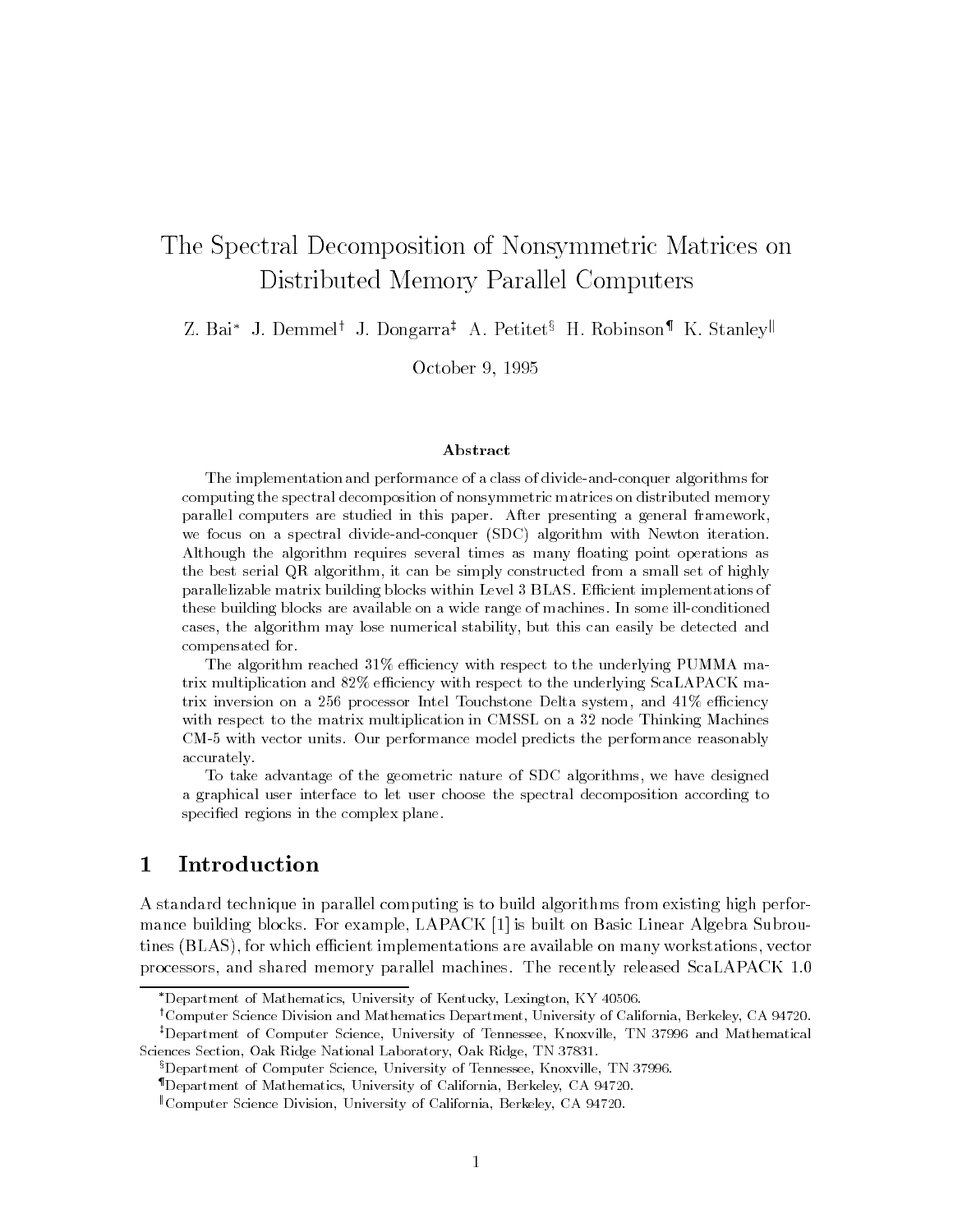# The Spectral Decomposition of Nonsymmetric Matrices on Distributed Memory Parallel Computers

Z. Bai<sup>\*</sup> J. Demmel<sup>†</sup> J. Dongarra<sup>‡</sup> A. Petitet<sup>§</sup> H. Robinson<sup>¶</sup> K. Stanley

October 9, 1995

#### Abstract

The implementation and performance of a class of divide-and-conquer algorithms for computing the spectral decomposition of nonsymmetric matrices on distributed memory parallel computers are studied in this paper. After presenting a general framework, we focus on a spectral divide-and-conquer (SDC) algorithm with Newton iteration. Although the algorithm requires several times as many floating point operations as the best serial QR algorithm, it can be simply constructed from a small set of highly parallelizable matrix building blocks within Level 3 BLAS. Efficient implementations of these building blocks are available on a wide range of machines. In some ill-conditioned cases, the algorithm may lose numerical stability, but this can easily be detected and compensated for.

The algorithm reached 31% efficiency with respect to the underlying PUMMA matrix multiplication and 82% efficiency with respect to the underlying ScaLAPACK matrix inversion on a  $256$  processor Intel Touchstone Delta system, and  $41\%$  efficiency with respect to the matrix multiplication in CMSSL on a 32 node Thinking Machines CM-5 with vector units. Our performance model predicts the performance reasonably accurately.

To take advantage of the geometric nature of SDC algorithms, we have designed a graphical user interface to let user choose the spectral decomposition according to specified regions in the complex plane.

# 1 Introduction

A standard technique in parallel computing is to build algorithms from existing high performance building blocks. For example, LAPACK [1] is built on Basic Linear Algebra Subroutines (BLAS), for which efficient implementations are available on many workstations, vector processors, and shared memory parallel machines. The recently released ScaLAPACK 1.0

Department of Mathematics, University of Kentucky, Lexington, KY 40506.

<sup>&</sup>lt;sup>†</sup>Computer Science Division and Mathematics Department, University of California, Berkeley, CA 94720.

<sup>&</sup>lt;sup>‡</sup>Department of Computer Science, University of Tennessee, Knoxville, TN 37996 and Mathematical Sciences Section, Oak Ridge National Laboratory, Oak Ridge, TN 37831.

<sup>&</sup>lt;sup>§</sup>Department of Computer Science, University of Tennessee, Knoxville, TN 37996.

<sup>{</sup>Department of Mathematics, University of California, Berkeley, CA 94720.

kComputer Science Division, University of California, Berkeley, CA 94720.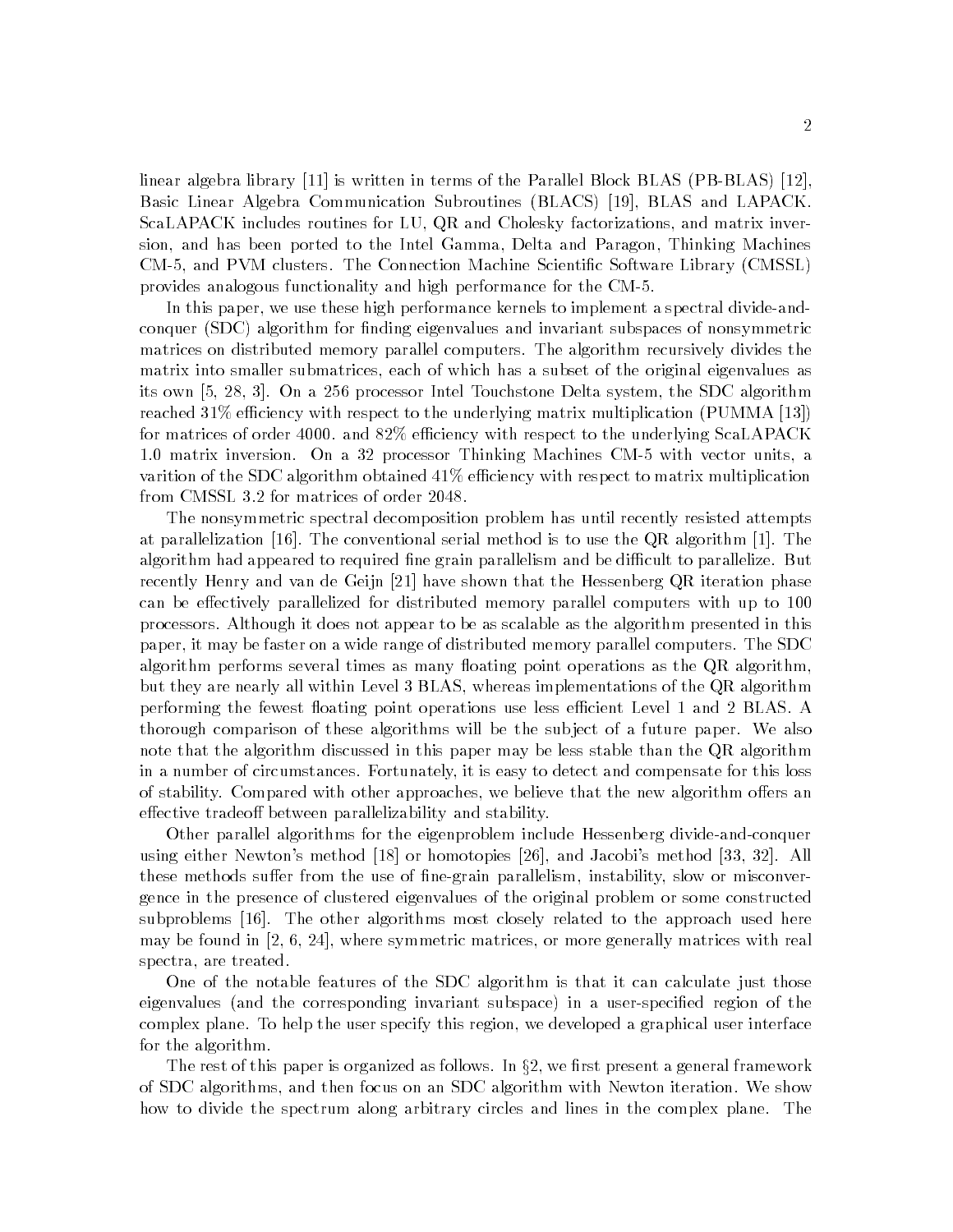linear algebra library [11] is written in terms of the Parallel Block BLAS (PB-BLAS) [12], Basic Linear Algebra Communication Subroutines (BLACS) [19], BLAS and LAPACK. ScaLAPACK includes routines for LU, QR and Cholesky factorizations, and matrix inversion, and has been ported to the Intel Gamma, Delta and Paragon, Thinking Machines CM-5, and PVM clusters. The Connection Machine Scientic Software Library (CMSSL) provides analogous functionality and high performance for the CM-5.

In this paper, we use these high performance kernels to implement a spectral divide-andconquer (SDC) algorithm for finding eigenvalues and invariant subspaces of nonsymmetric matrices on distributed memory parallel computers. The algorithm recursively divides the matrix into smaller submatrices, each of which has a subset of the original eigenvalues as its own [5, 28, 3]. On a 256 processor Intel Touchstone Delta system, the SDC algorithm reached 31% efficiency with respect to the underlying matrix multiplication (PUMMA [13]) for matrices of order 4000. and  $82\%$  efficiency with respect to the underlying ScaLAPACK 1.0 matrix inversion. On a 32 processor Thinking Machines CM-5 with vector units, a varition of the SDC algorithm obtained  $41\%$  efficiency with respect to matrix multiplication from CMSSL 3.2 for matrices of order 2048.

The nonsymmetric spectral decomposition problem has until recently resisted attempts at parallelization [16]. The conventional serial method is to use the QR algorithm [1]. The algorithm had appeared to required fine grain parallelism and be difficult to parallelize. But recently Henry and van de Geijn [21] have shown that the Hessenberg QR iteration phase can be effectively parallelized for distributed memory parallel computers with up to 100 processors. Although it does not appear to be as scalable as the algorithm presented in this paper, it may be faster on a wide range of distributed memory parallel computers. The SDC algorithm performs several times as many floating point operations as the  $QR$  algorithm, but they are nearly all within Level 3 BLAS, whereas implementations of the QR algorithm performing the fewest floating point operations use less efficient Level 1 and 2 BLAS. A thorough comparison of these algorithms will be the sub ject of a future paper. We also note that the algorithm discussed in this paper may be less stable than the QR algorithm in a number of circumstances. Fortunately, it is easy to detect and compensate for this loss of stability. Compared with other approaches, we believe that the new algorithm offers an effective tradeoff between parallelizability and stability.

Other parallel algorithms for the eigenproblem include Hessenberg divide-and-conquer using either Newton's method [18] or homotopies [26], and Jacobi's method [33, 32]. All these methods suffer from the use of fine-grain parallelism, instability, slow or misconvergence in the presence of clustered eigenvalues of the original problem or some constructed subproblems [16]. The other algorithms most closely related to the approach used here may be found in [2, 6, 24], where symmetric matrices, or more generally matrices with real spectra, are treated.

One of the notable features of the SDC algorithm is that it can calculate just those eigenvalues (and the corresponding invariant subspace) in a user-specified region of the complex plane. To help the user specify this region, we developed a graphical user interface for the algorithm.

The rest of this paper is organized as follows. In  $\S 2$ , we first present a general framework of SDC algorithms, and then focus on an SDC algorithm with Newton iteration. We show how to divide the spectrum along arbitrary circles and lines in the complex plane. The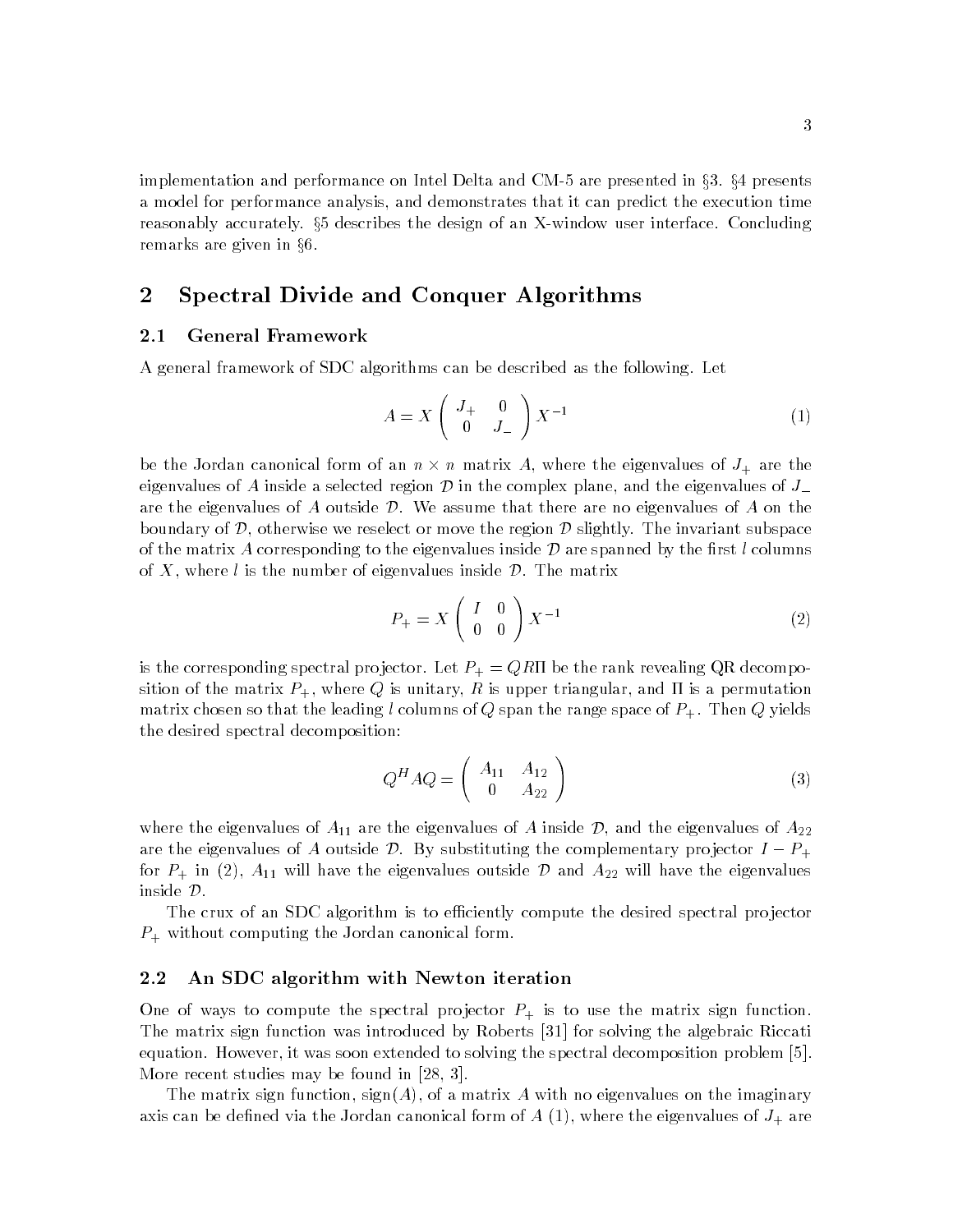implementation and performance on Intel Delta and CM-5 are presented in  $\S$ 3.  $\S$ 4 presents a model for performance analysis, and demonstrates that it can predict the execution time reasonably accurately. §5 describes the design of an X-window user interface. Concluding remarks are given in  $\S6$ .

## 2 Spectral Divide and Conquer Algorithms

#### 2.1 General Framework

A general framework of SDC algorithms can be described as the following. Let

$$
A = X \begin{pmatrix} J_+ & 0 \\ 0 & J_- \end{pmatrix} X^{-1}
$$
 (1)

be the Jordan canonical form of an n - n matrix A, where the eigenvalues of J+ are the eigenvalues of A inside a selected region  $\mathcal D$  in the complex plane, and the eigenvalues of  $J_$ are the eigenvalues of A outside  $\mathcal{D}$ . We assume that there are no eigenvalues of A on the boundary of  $D$ , otherwise we reselect or move the region  $D$  slightly. The invariant subspace of the matrix A corresponding to the eigenvalues inside  $\mathcal D$  are spanned by the first l columns of X, where l is the number of eigenvalues inside  $\mathcal D$ . The matrix

$$
P_{+} = X \left( \begin{array}{cc} I & 0 \\ 0 & 0 \end{array} \right) X^{-1} \tag{2}
$$

is the corresponding spectral problem in the rank revealing  $\mathcal{L}$ sition of the matrix  $P_+$ , where Q is unitary, R is upper triangular, and  $\Pi$  is a permutation matrix chosen so that the leading l columns of Q span the range space of  $P_+$ . Then Q yields the desired spectral decomposition:

$$
Q^H A Q = \left(\begin{array}{cc} A_{11} & A_{12} \\ 0 & A_{22} \end{array}\right) \tag{3}
$$

where the eigenvalues of A11 are the eigenvalues of Alixandra of A inside D, and the eigenvalues of A22 are the eigenvalues of A outside D. By substituting the complementary projector  $I - P_+$ for P+ in (2), A11 will have the eigenvalues outside <sup>D</sup> and A22 will have the eigenvalues inside D.

The crux of an SDC algorithm is to efficiently compute the desired spectral projector P+ without computing the Jordan canonical form.

## 2.2 An SDC algorithm with Newton iteration

One of ways to compute the spectral pro jector P+ is to use the matrix sign function. The matrix sign function was introduced by Roberts [31] for solving the algebraic Riccati equation. However, it was soon extended to solving the spectral decomposition problem [5]. More recent studies may be found in [28, 3].

The matrix sign function,  $sign(A)$ , of a matrix A with no eigenvalues on the imaginary axis can be demical the Jordan canonical form of  $\mathcal{L}(\mathcal{A})$  (1), where the eigenvalues of J+ are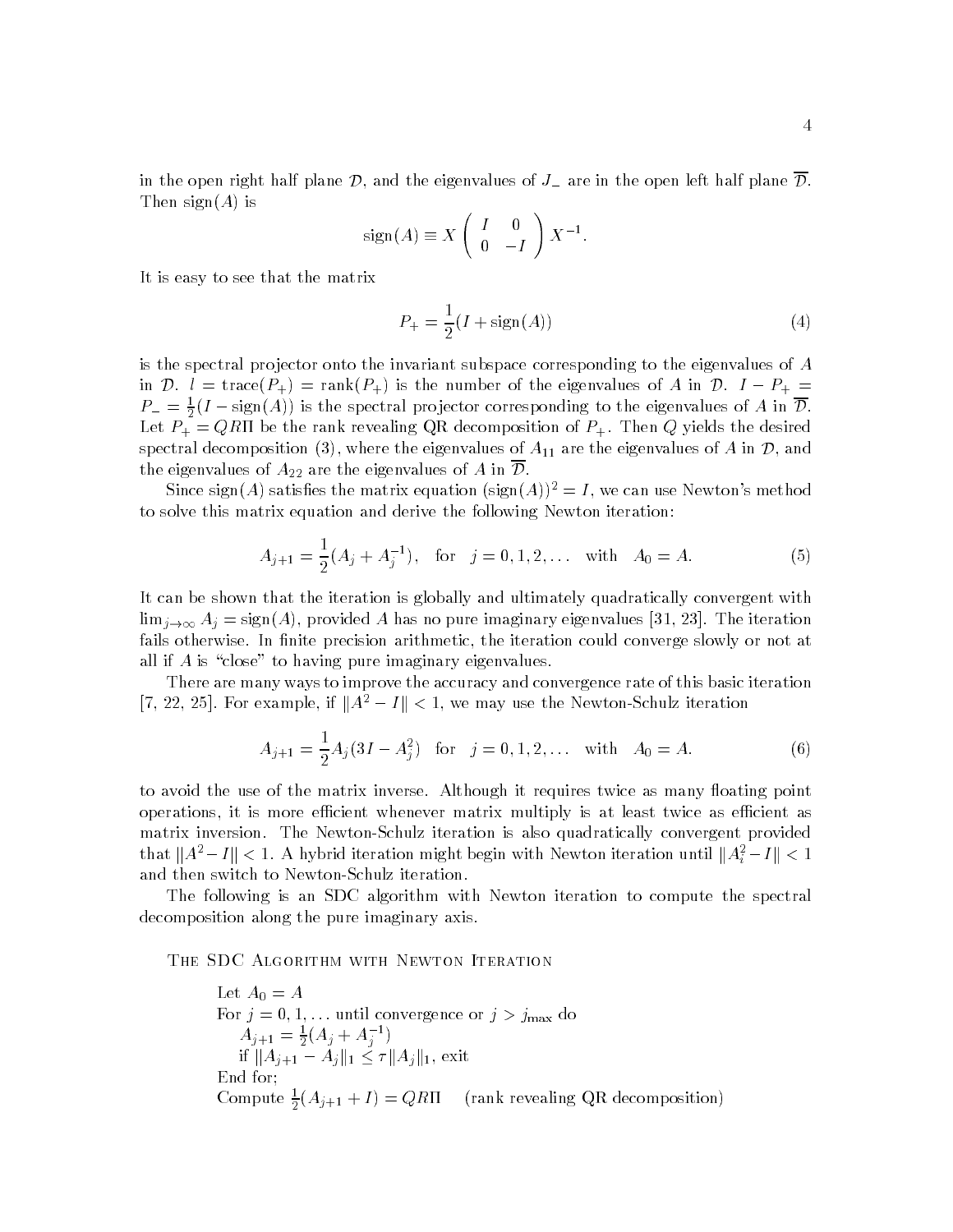$$
sign(A) \equiv X \begin{pmatrix} I & 0 \\ 0 & -I \end{pmatrix} X^{-1}.
$$

It is easy to see that the matrix

$$
P_{+} = \frac{1}{2}(I + \text{sign}(A))
$$
\n(4)

is the spectral pro jector onto the invariant subspace corresponding to the eigenvalues of A in D. l  $\alpha$  is the eigenvalue of  $\alpha$  in the multiplet of the eigenvalues of  $\alpha$  in D. I  $\alpha$  in D. I  $\alpha$  $P_{-} = \frac{1}{2}(I - \text{sign}(A))$  is the spectral projector corresponding to the eigenvalues of A in D. -Let P+ <sup>=</sup> QR be the rank revealing QR decomposition of P+. Then <sup>Q</sup> yields the desired spectral decomposition (3), where the eigenvalues of A11 are the eigenvalues of A11 are the eigenvalues of A11 and and A11 are the eigenvalues of A11 are the eigenvalues of A11 are the eigenvalues of A11 and A11 and A11 a the eigenvalues of  $\Delta$ 2 are the eigenvalues of  $\Lambda$  in  $\Lambda$  in  $\Lambda$  in  $\Lambda$  in  $\Lambda$  in  $\Lambda$  in  $\Lambda$ 

Since sign(A) satisfies the matrix equation  $(\text{sign}(A))^2 = I$ , we can use Newton's method to solve this matrix equation and derive the following Newton iteration:

$$
A_{j+1} = \frac{1}{2}(A_j + A_j^{-1}), \text{ for } j = 0, 1, 2, \dots \text{ with } A_0 = A. \tag{5}
$$

It can be shown that the iteration is globally and ultimately quadratically convergent with  $\lim_{j\to\infty} A_j = \text{sign}(A)$ , provided A has no pure imaginary eigenvalues [31, 23]. The iteration fails otherwise. In finite precision arithmetic, the iteration could converge slowly or not at all if A is "close" to having pure imaginary eigenvalues.

There are many ways to improve the accuracy and convergence rate of this basic iteration [7, 22, 25]. For example, if  $||A^2 - I|| < 1$ , we may use the Newton-Schulz iteration

$$
A_{j+1} = \frac{1}{2}A_j(3I - A_j^2) \text{ for } j = 0, 1, 2, \dots \text{ with } A_0 = A. \tag{6}
$$

to avoid the use of the matrix inverse. Although it requires twice as many floating point operations, it is more efficient whenever matrix multiply is at least twice as efficient as matrix inversion. The Newton-Schulz iteration is also quadratically convergent provided that  $\|A^2 - I\| < 1$ . A hybrid iteration might begin with Newton iteration until  $\|A_i^z - I\| < 1$ and then switch to Newton-Schulz iteration.

The following is an SDC algorithm with Newton iteration to compute the spectral decomposition along the pure imaginary axis.

The SDC Algorithm with Newton Iteration

Let A0 <sup>=</sup> <sup>A</sup>  $\boldsymbol{J}$  , and its proposition of  $\boldsymbol{J}$  is done. In the set of  $\boldsymbol{J}$  $A_{j+1} = \frac{1}{2}(A_j + A_j^{-1})$ if if the control in the second the control of the control in the control of the control in the control in the End for; Compute  $\frac{1}{2}(A_{j+1} + I) = QK\Pi$  (rank revealing QR decomposition)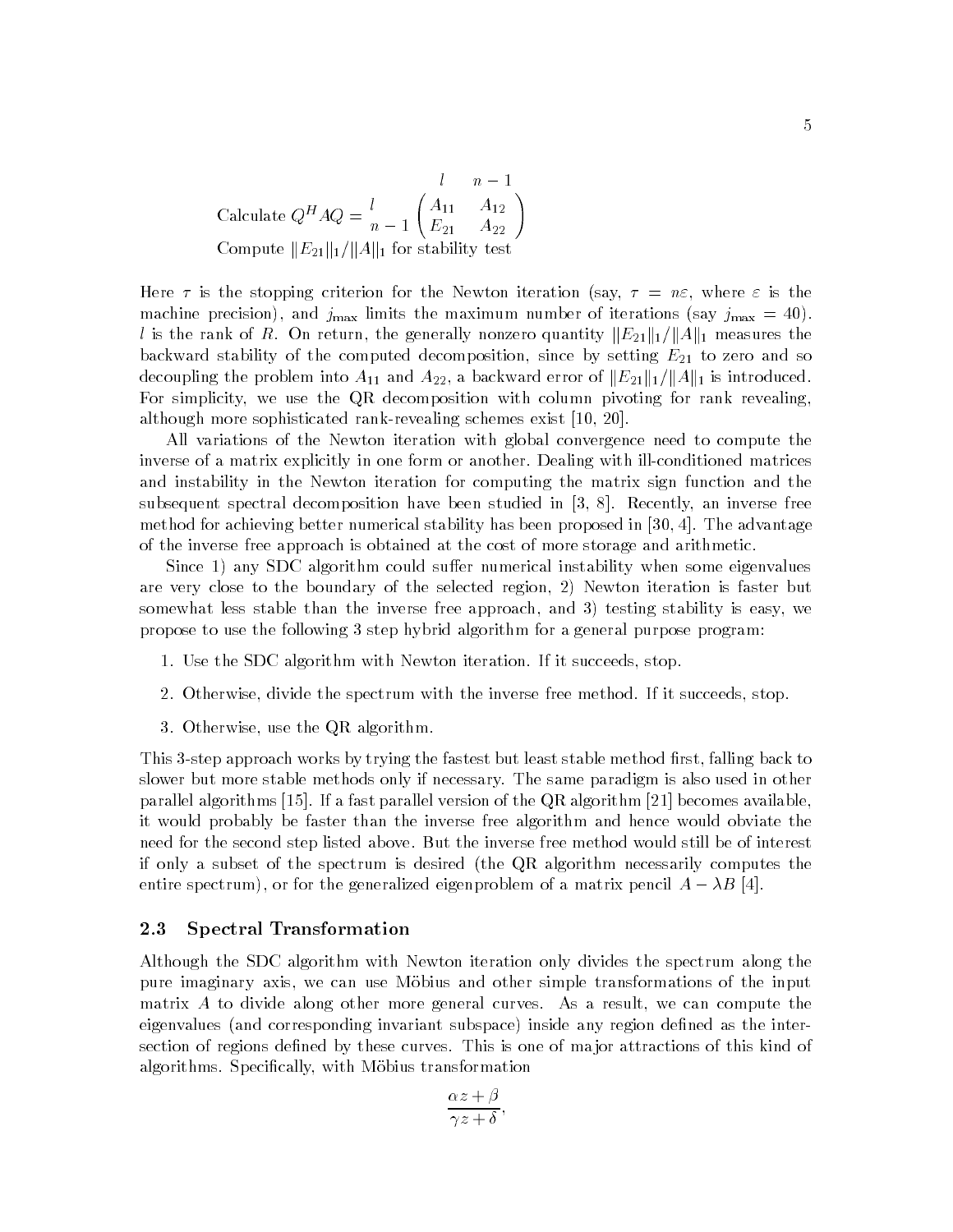$$
l \qquad n-1
$$
  
Calculate  $Q^H A Q = \frac{l}{n-1} \begin{pmatrix} A_{11} & A_{12} \\ E_{21} & A_{22} \end{pmatrix}$   
Compute  $||E_{21}||_1/||A||_1$  for stability test

Here  $\tau$  is the stopping criterion for the Newton iteration (say,  $\tau = n\varepsilon$ , where  $\varepsilon$  is the machine precision), and jmax limits the maximum number of iterations (say jmax = 40). l is the rank of R. On return, the generally nonzero quantity kE21k1=kAk1 measures the backward stability of the computed decomposition, since by setting E21 to zero and so decoupling the problem into A11 and A22, a backward error of kE21k1=kAk1 is introduced. For simplicity, we use the QR decomposition with column pivoting for rank revealing, although more sophisticated rank-revealing schemes exist [10, 20].

All variations of the Newton iteration with global convergence need to compute the inverse of a matrix explicitly in one form or another. Dealing with ill-conditioned matrices and instability in the Newton iteration for computing the matrix sign function and the subsequent spectral decomposition have been studied in [3, 8]. Recently, an inverse free method for achieving better numerical stability has been proposed in [30, 4]. The advantage of the inverse free approach is obtained at the cost of more storage and arithmetic.

Since 1) any SDC algorithm could suffer numerical instability when some eigenvalues are very close to the boundary of the selected region, 2) Newton iteration is faster but somewhat less stable than the inverse free approach, and 3) testing stability is easy, we propose to use the following 3 step hybrid algorithm for a general purpose program:

- 1. Use the SDC algorithm with Newton iteration. If it succeeds, stop.
- 2. Otherwise, divide the spectrum with the inverse free method. If it succeeds, stop.
- 3. Otherwise, use the QR algorithm.

This 3-step approach works by trying the fastest but least stable method first, falling back to slower but more stable methods only if necessary. The same paradigm is also used in other parallel algorithms [15]. If a fast parallel version of the QR algorithm [21] becomes available, it would probably be faster than the inverse free algorithm and hence would obviate the need for the second step listed above. But the inverse free method would still be of interest if only a subset of the spectrum is desired (the QR algorithm necessarily computes the entire spectrum), or for the generalized eigenproblem of a matrix pencil  $A - \lambda B$  [4].

### 2.3 Spectral Transformation

Although the SDC algorithm with Newton iteration only divides the spectrum along the pure imaginary axis, we can use Mobius and other simple transformations of the input matrix A to divide along other more general curves. As a result, we can compute the eigenvalues (and corresponding invariant subspace) inside any region defined as the intersection of regions defined by these curves. This is one of major attractions of this kind of algorithms. Specically, with Mobius transformation

$$
\frac{\alpha z + \beta}{\gamma z + \delta},
$$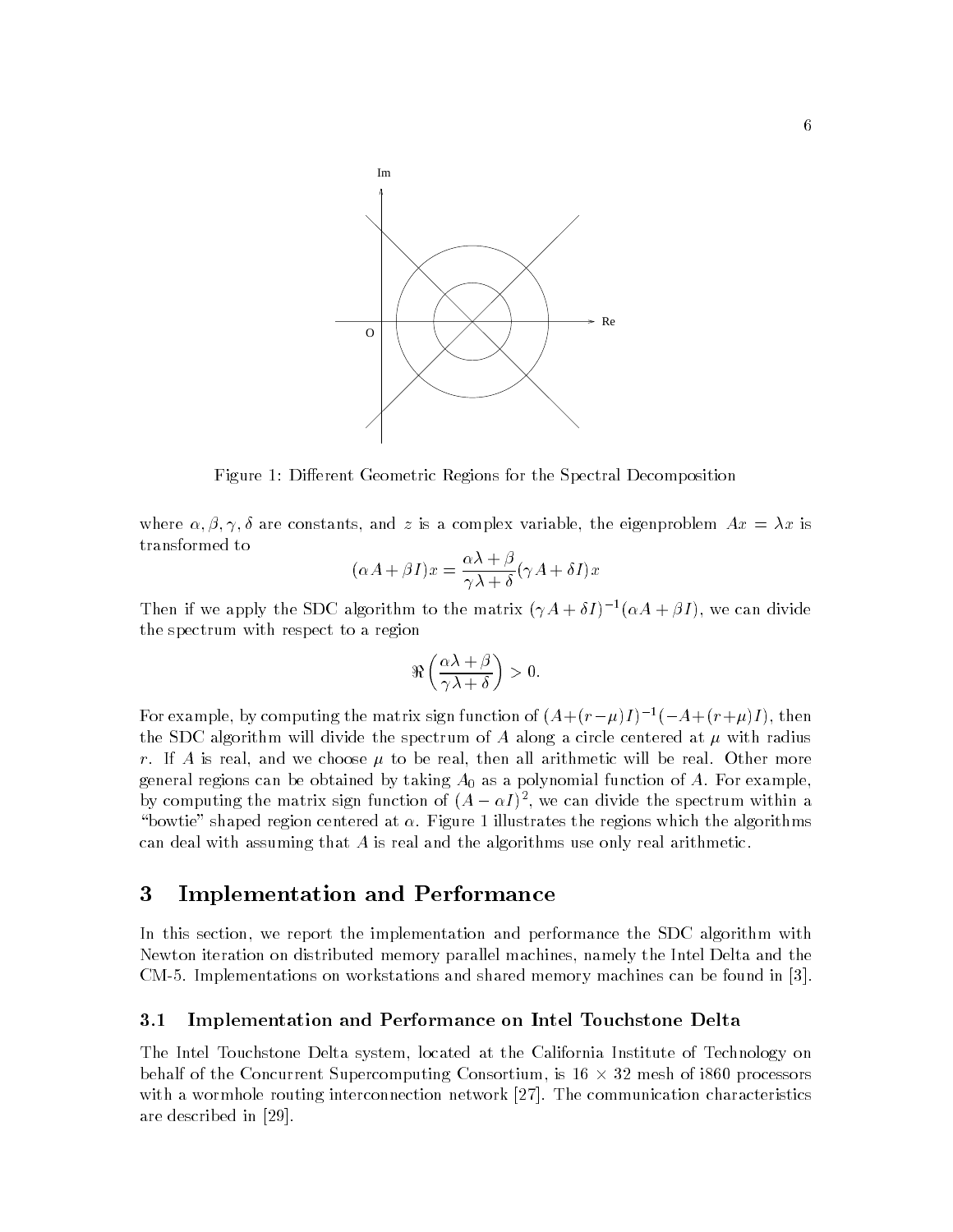

Figure 1: Different Geometric Regions for the Spectral Decomposition

where  $\alpha, \beta, \gamma, \delta$  are constants, and z is a complex variable, the eigenproblem  $Ax = \lambda x$  is transformed to

$$
(\alpha A + \beta I)x = \frac{\alpha \lambda + \beta}{\gamma \lambda + \delta} (\gamma A + \delta I)x
$$

Then if we apply the SDC algorithm to the matrix  $(\gamma A + \delta I)^{-1}(\alpha A + \beta I)$ , we can divide the spectrum with respect to a region

$$
\Re\left(\frac{\alpha\lambda+\beta}{\gamma\lambda+\delta}\right)>0.
$$

For example, by computing the matrix sign function of  $(A+(r-\mu)I)^{-1}(-A+(r+\mu)I)$ , then the SDC algorithm will divide the spectrum of A along a circle centered at  $\mu$  with radius r. If A is real, and we choose  $\mu$  to be real, then all arithmetic will be real. Other more  $\alpha$  regions can be obtained by taking A0 as a polynomial function of A1 as a polynomial function of A. For example,  $\alpha$ by computing the matrix sign function of  $(A - \alpha I)^{-}$ , we can divide the spectrum within a "bowtie" shaped region centered at  $\alpha$ . Figure 1 illustrates the regions which the algorithms can deal with assuming that A is real and the algorithms use only real arithmetic.

# 3 Implementation and Performance

In this section, we report the implementation and performance the SDC algorithm with Newton iteration on distributed memory parallel machines, namely the Intel Delta and the CM-5. Implementations on workstations and shared memory machines can be found in [3].

## 3.1 Implementation and Performance on Intel Touchstone Delta

The Intel Touchstone Delta system, located at the California Institute of Technology on behalf of the Concurrent Supercomputing Consortium, is 16 - 20 mesh of i860 processors in 1600 processors in 1 with a wormhole routing interconnection network [27]. The communication characteristics are described in [29].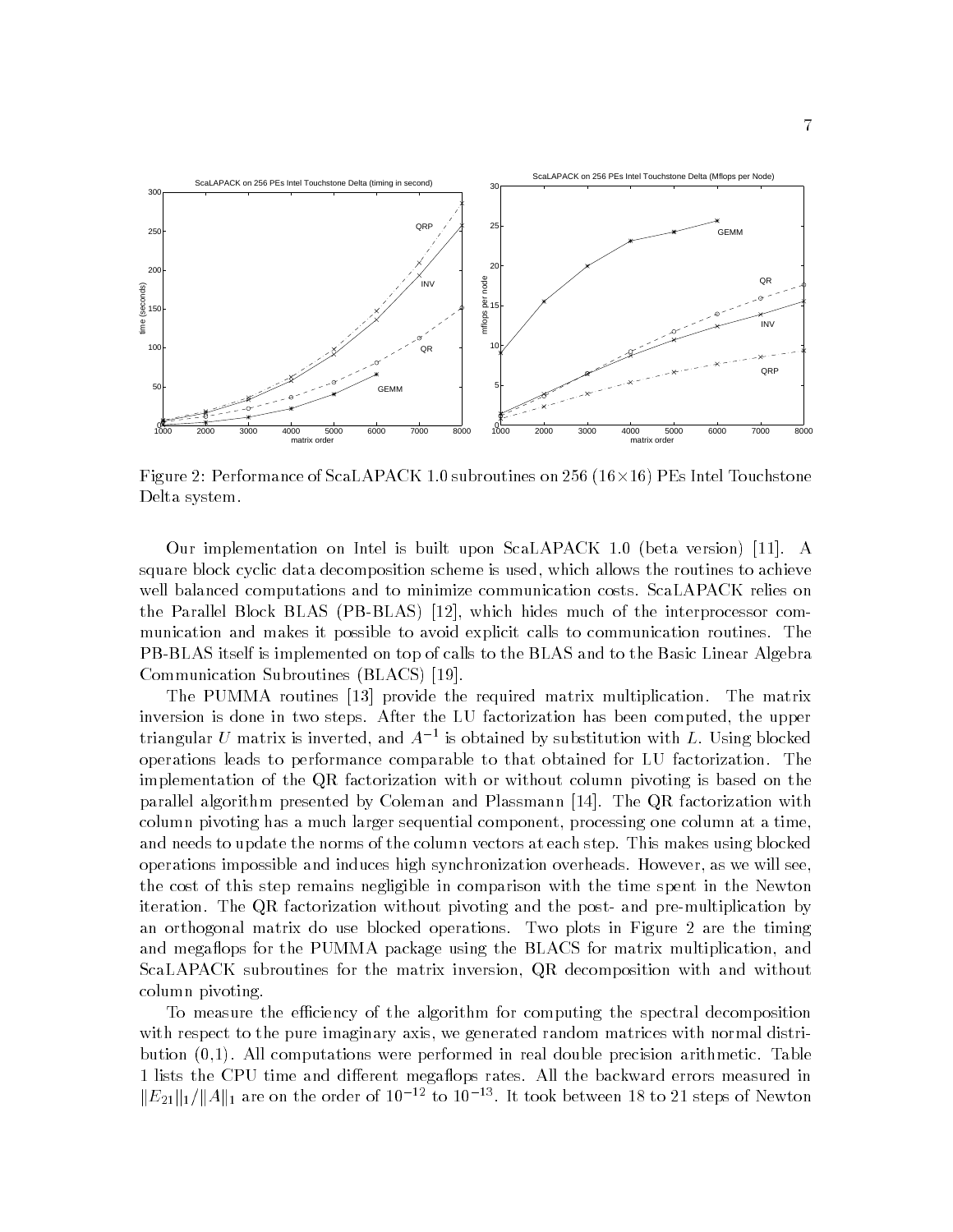

Figure 2: Performance of ScaLAPACK 1.0 subroutines on 256 (16-16) PEs Intel Touchstone Delta system.

Our implementation on Intel is built upon ScaLAPACK 1.0 (beta version) [11]. A square block cyclic data decomposition scheme is used, which allows the routines to achieve well balanced computations and to minimize communication costs. ScaLAPACK relies on the Parallel Block BLAS (PB-BLAS) [12], which hides much of the interprocessor communication and makes it possible to avoid explicit calls to communication routines. The PB-BLAS itself is implemented on top of calls to the BLAS and to the Basic Linear Algebra Communication Subroutines (BLACS) [19].

The PUMMA routines [13] provide the required matrix multiplication. The matrix inversion is done in two steps. After the LU factorization has been computed, the upper triangular  $U$  matrix is inverted, and  $A^{-1}$  is obtained by substitution with  $L.$  Using blocked  $\blacksquare$ operations leads to performance comparable to that obtained for LU factorization. The implementation of the QR factorization with or without column pivoting is based on the parallel algorithm presented by Coleman and Plassmann [14]. The QR factorization with column pivoting has a much larger sequential component, processing one column at a time, and needs to update the norms of the column vectors at each step. This makes using blocked operations impossible and induces high synchronization overheads. However, as we will see, the cost of this step remains negligible in comparison with the time spent in the Newton iteration. The QR factorization without pivoting and the post- and pre-multiplication by an orthogonal matrix do use blocked operations. Two plots in Figure 2 are the timing and megaflops for the PUMMA package using the BLACS for matrix multiplication, and ScaLAPACK subroutines for the matrix inversion, QR decomposition with and without column pivoting.

To measure the efficiency of the algorithm for computing the spectral decomposition with respect to the pure imaginary axis, we generated random matrices with normal distribution (0,1). All computations were performed in real double precision arithmetic. Table 1 lists the CPU time and different megaflops rates. All the backward errors measured in  $\|E_{21}\|_1/\|A\|_1$  are on the order of 10  $^{++}$  to 10  $^{++}$ . It took between 18 to 21 steps of Newton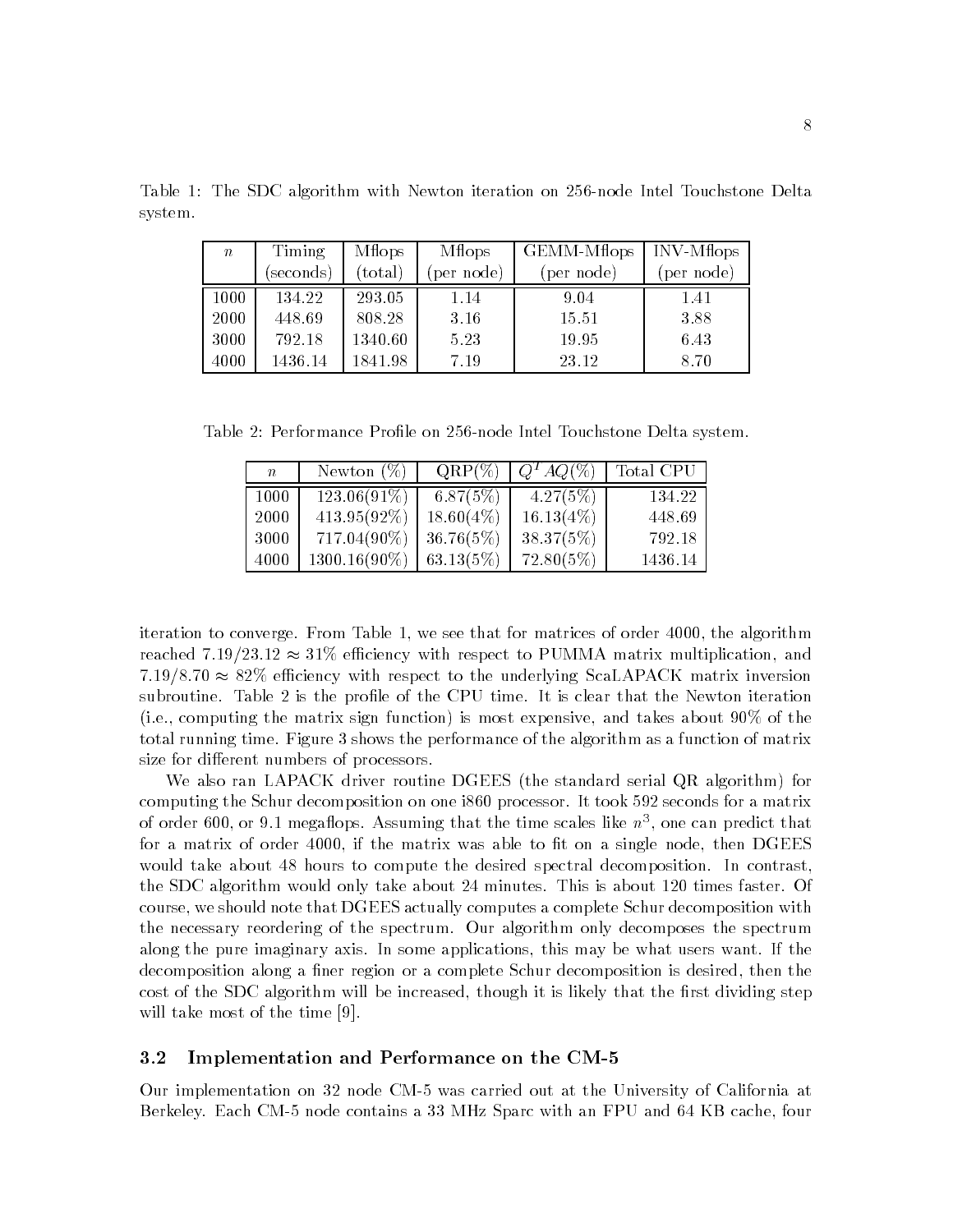| $\, n$ | Timing    | <b>M</b> flops   | <b>M</b> flops | GEMM-Mflops | <b>INV-Mflops</b> |
|--------|-----------|------------------|----------------|-------------|-------------------|
|        | (seconds) | $_{\rm (total)}$ | 'per node)     | 'per node)  | 'per node)        |
| 1000   | 134.22    | 293.05           | 1.14           | 9.04        | 1.41              |
| 2000   | 448.69    | 808.28           | 3.16           | 15.51       | 3.88              |
| 3000   | 792.18    | 1340.60          | 5.23           | 19.95       | 6.43              |
| 4000   | 1436.14   | 1841.98          | 7.19           | 23.12       | 8.70              |

Table 1: The SDC algorithm with Newton iteration on 256-node Intel Touchstone Delta system.

Table 2: Performance Prole on 256-node Intel Touchstone Delta system.

| $\boldsymbol{n}$ | Newton $(\%)$  | $QRP(\%)$ | $Q^T A Q(\%)$ | Total CPU |
|------------------|----------------|-----------|---------------|-----------|
| 1000             | $123.06(91\%)$ | 6.87(5%)  | 4.27(5%)      | 134.22    |
| 2000             | $413.95(92\%)$ | 18.60(4%) | 16.13(4%)     | 448.69    |
| 3000             | 717.04(90%)    | 36.76(5%) | 38.37(5%)     | 792.18    |
| 4000             | 1300.16(90%)   | 63.13(5%) | 72.80(5%)     | 1436.14   |

iteration to converge. From Table 1, we see that for matrices of order 4000, the algorithm reached 7.19/23.12  $\approx 31\%$  efficiency with respect to PUMMA matrix multiplication, and  $7.19/8.70 \approx 82\%$  efficiency with respect to the underlying ScaLAPACK matrix inversion subroutine. Table 2 is the profile of the CPU time. It is clear that the Newton iteration (i.e., computing the matrix sign function) is most expensive, and takes about 90% of the total running time. Figure 3 shows the performance of the algorithm as a function of matrix size for different numbers of processors.

We also ran LAPACK driver routine DGEES (the standard serial QR algorithm) for computing the Schur decomposition on one i860 processor. It took 592 seconds for a matrix of order buy, or 9.1 meganops. Assuming that the time scales like  $n^\circ$ , one can predict that for a matrix of order 4000, if the matrix was able to fit on a single node, then DGEES would take about 48 hours to compute the desired spectral decomposition. In contrast, the SDC algorithm would only take about 24 minutes. This is about 120 times faster. Of course, we should note that DGEES actually computes a complete Schur decomposition with the necessary reordering of the spectrum. Our algorithm only decomposes the spectrum along the pure imaginary axis. In some applications, this may be what users want. If the decomposition along a finer region or a complete Schur decomposition is desired, then the cost of the SDC algorithm will be increased, though it is likely that the first dividing step will take most of the time [9].

## 3.2 Implementation and Performance on the CM-5

Our implementation on 32 node CM-5 was carried out at the University of California at Berkeley. Each CM-5 node contains a 33 MHz Sparc with an FPU and 64 KB cache, four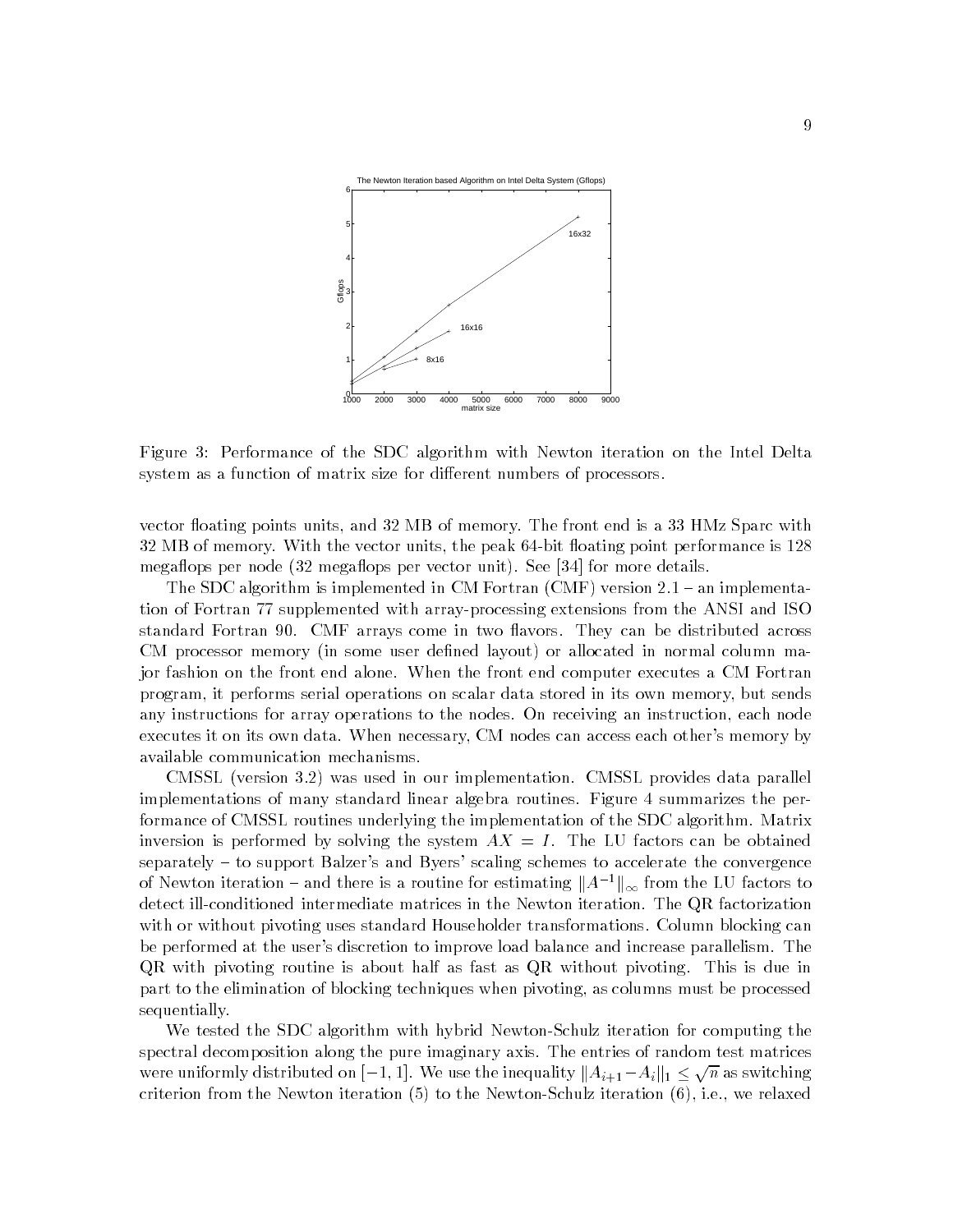

Figure 3: Performance of the SDC algorithm with Newton iteration on the Intel Delta system as a function of matrix size for different numbers of processors.

vector floating points units, and 32 MB of memory. The front end is a 33 HMz Sparc with 32 MB of memory. With the vector units, the peak 64-bit floating point performance is 128 megaflops per node (32 megaflops per vector unit). See [34] for more details.

The SDC algorithm is implemented in CM Fortran (CMF) version  $2.1 -$ an implementation of Fortran 77 supplemented with array-processing extensions from the ANSI and ISO standard Fortran 90. CMF arrays come in two flavors. They can be distributed across CM processor memory (in some user defined layout) or allocated in normal column major fashion on the front end alone. When the front end computer executes a CM Fortran program, it performs serial operations on scalar data stored in its own memory, but sends any instructions for array operations to the nodes. On receiving an instruction, each node executes it on its own data. When necessary, CM nodes can access each other's memory by available communication mechanisms.

CMSSL (version 3.2) was used in our implementation. CMSSL provides data parallel implementations of many standard linear algebra routines. Figure 4 summarizes the performance of CMSSL routines underlying the implementation of the SDC algorithm. Matrix inversion is performed by solving the system  $AX = I$ . The LU factors can be obtained separately  $-$  to support Balzer's and Byers' scaling schemes to accelerate the convergence of Newton iteration – and there is a routine for estimating  $||A^{-1}||_{\infty}$  from the LU factors to detect ill-conditioned intermediate matrices in the Newton iteration. The QR factorization with or without pivoting uses standard Householder transformations. Column blocking can be performed at the user's discretion to improve load balance and increase parallelism. The QR with pivoting routine is about half as fast as QR without pivoting. This is due in part to the elimination of blocking techniques when pivoting, as columns must be processed sequentially.

We tested the SDC algorithm with hybrid Newton-Schulz iteration for computing the spectral decomposition along the pure imaginary axis. The entries of random test matrices were uniformly distributed on  $[-1, 1]$ . We use the inequality  $||A_{i+1}-A_i||_1 \leq \sqrt{n}$  as switching criterion from the Newton iteration (5) to the Newton-Schulz iteration (6), i.e., we relaxed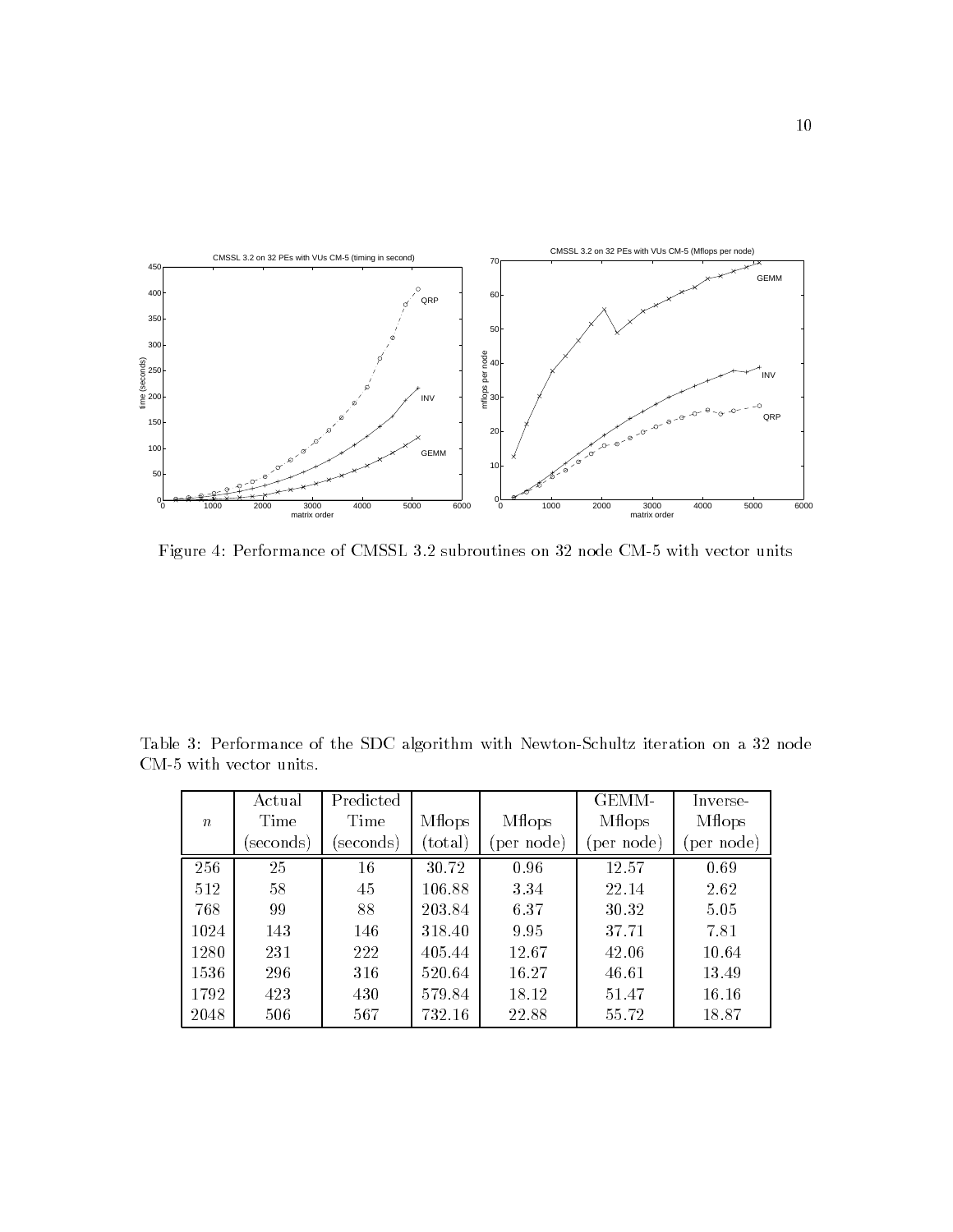

Figure 4: Performance of CMSSL 3.2 subroutines on 32 node CM-5 with vector units

Table 3: Performance of the SDC algorithm with Newton-Schultz iteration on a 32 node CM-5 with vector units.

|                  | Actual   | Predicted |                |                | GEMM-          | Inverse-       |
|------------------|----------|-----------|----------------|----------------|----------------|----------------|
| $\boldsymbol{n}$ | Time     | Time      | <b>M</b> flops | <b>M</b> flops | <b>M</b> flops | <b>M</b> flops |
|                  | seconds) | seconds)  | (total)        | per node)      | 'per node)     | (per node)     |
| 256              | 25       | 16        | 30.72          | 0.96           | 12.57          | 0.69           |
| 512              | 58       | 45        | 106.88         | 3.34           | 22.14          | 2.62           |
| 768              | 99       | 88        | 203.84         | 6.37           | 30.32          | 5.05           |
| 1024             | 143      | 146       | 318.40         | 9.95           | 37.71          | 7.81           |
| 1280             | 231      | 222       | 405.44         | 12.67          | 42.06          | 10.64          |
| 1536             | 296      | 316       | 520.64         | 16.27          | 46.61          | 13.49          |
| 1792             | 423      | 430       | 579.84         | 18.12          | 51.47          | 16.16          |
| 2048             | 506      | 567       | 732.16         | 22.88          | 55.72          | 18.87          |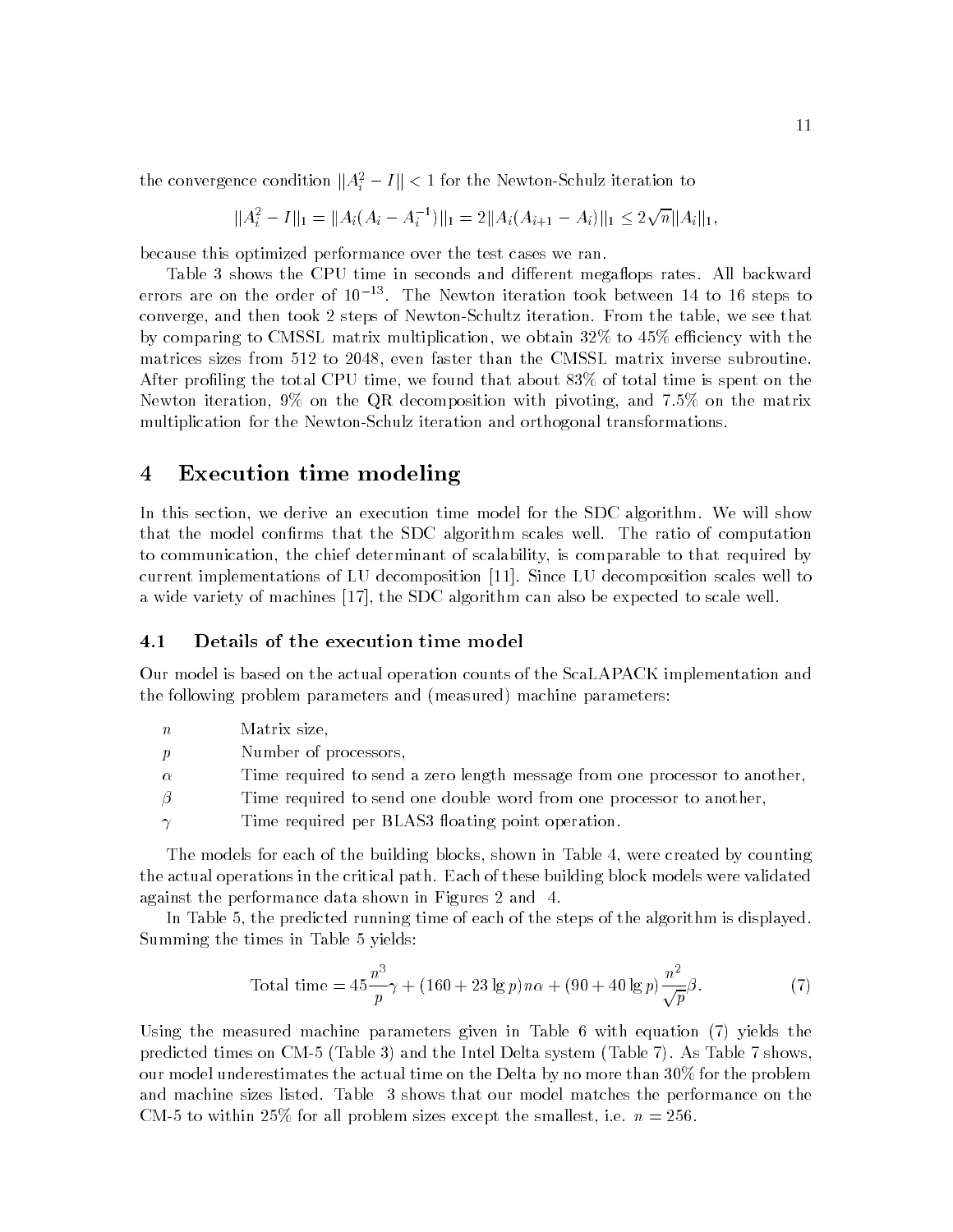the convergence condition  $\|A_i^* - I\| < 1$  for the Newton-Schulz iteration to

$$
||A_i^2 - I||_1 = ||A_i(A_i - A_i^{-1})||_1 = 2||A_i(A_{i+1} - A_i)||_1 \le 2\sqrt{n}||A_i||_1,
$$

because this optimized performance over the test cases we ran.

Table 3 shows the CPU time in seconds and different megaflops rates. All backward errors are on the order of 1013 . The Newton iteration took between 14 to 16 steps to converge, and then took 2 steps of Newton-Schultz iteration. From the table, we see that by comparing to CMSSL matrix multiplication, we obtain  $32\%$  to  $45\%$  efficiency with the matrices sizes from 512 to 2048, even faster than the CMSSL matrix inverse subroutine. After profiling the total CPU time, we found that about  $83\%$  of total time is spent on the Newton iteration, 9% on the QR decomposition with pivoting, and 7.5% on the matrix multiplication for the Newton-Schulz iteration and orthogonal transformations.

## 4 Execution time modeling

In this section, we derive an execution time model for the SDC algorithm. We will show that the model confirms that the SDC algorithm scales well. The ratio of computation to communication, the chief determinant of scalability, is comparable to that required by current implementations of LU decomposition [11]. Since LU decomposition scales well to a wide variety of machines [17], the SDC algorithm can also be expected to scale well.

#### 4.1 Details of the execution time model

Our model is based on the actual operation counts of the ScaLAPACK implementation and the following problem parameters and (measured) machine parameters:

- p Number of processors,
- $\alpha$  Time required to send a zero length message from one processor to another,
- $\beta$  Time required to send one double word from one processor to another,
- $\gamma$  Time required per BLAS3 floating point operation.

The models for each of the building blocks, shown in Table 4, were created by counting the actual operations in the critical path. Each of these building block models were validated against the performance data shown in Figures 2 and 4.

In Table 5, the predicted running time of each of the steps of the algorithm is displayed. Summing the times in Table 5 yields:

Total time = 
$$
45 \frac{n^3}{p} \gamma + (160 + 23 \lg p) n\alpha + (90 + 40 \lg p) \frac{n^2}{\sqrt{p}} \beta
$$
. (7)

Using the measured machine parameters given in Table 6 with equation (7) yields the predicted times on CM-5 (Table 3) and the Intel Delta system (Table 7). As Table 7 shows, our model underestimates the actual time on the Delta by no more than 30% for the problem and machine sizes listed. Table 3 shows that our model matches the performance on the CM-5 to within 25% for all problem sizes except the smallest, i.e.  $n = 256$ .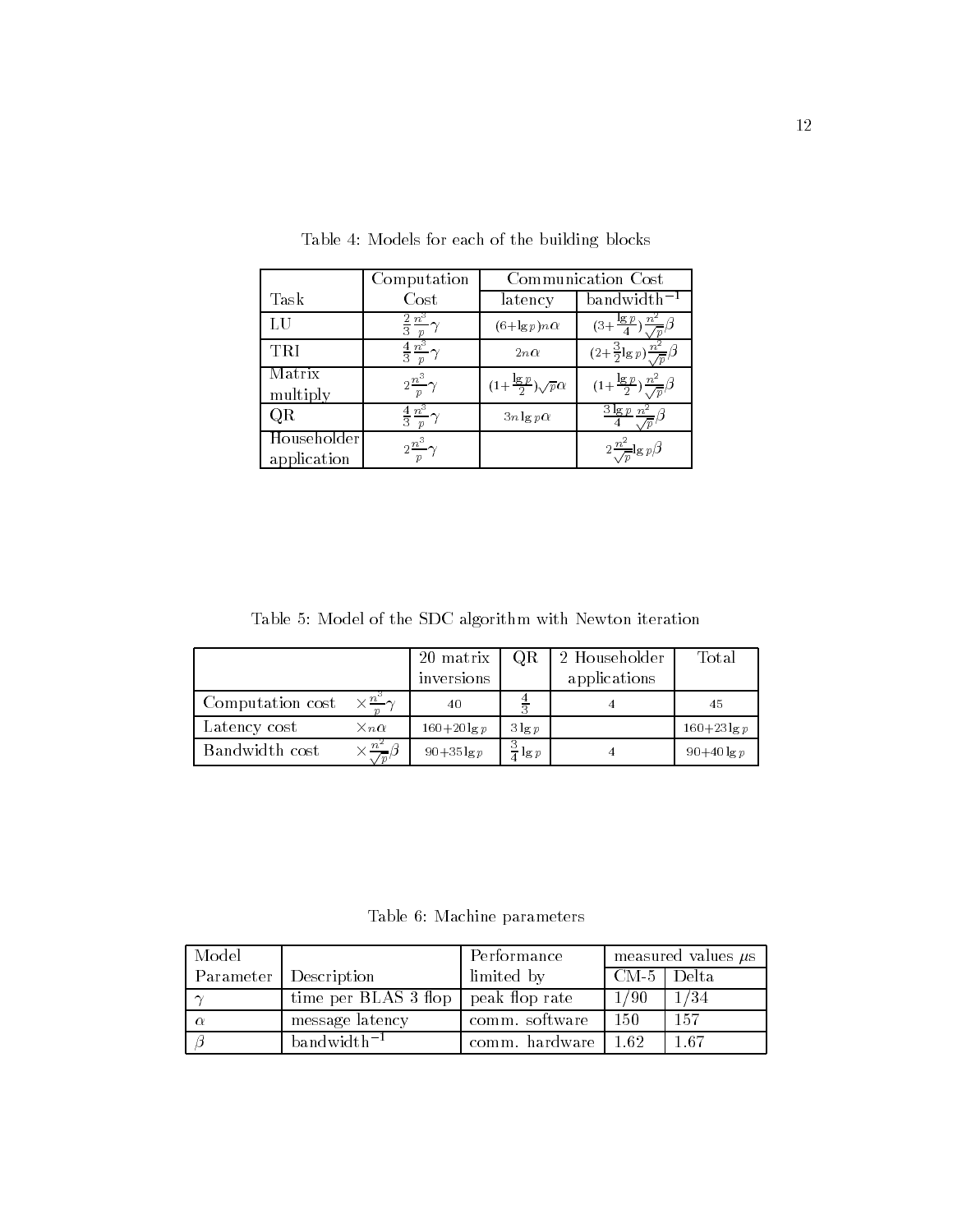|                            | Computation                      |                                     | Communication Cost                                 |
|----------------------------|----------------------------------|-------------------------------------|----------------------------------------------------|
| Task                       | Cost                             | latency                             | $bandwidth-1$                                      |
| LU                         | $rac{2}{3} \frac{n^3}{p} \gamma$ | $(6 + \lg p)n\alpha$                | $\frac{\lg p}{4} \frac{n^2}{\sqrt{n}} \beta$       |
| TRI                        | $rac{4}{3} \frac{n^3}{p} \gamma$ | $2n\alpha$                          | $(2+\frac{3}{2}\lg p)\frac{n^2}{\sqrt{p}}\beta$    |
| Matrix<br>multiply         | $2\frac{n^3}{p}\gamma$           | $(1+\frac{\lg p}{2})\sqrt{p}\alpha$ | $\frac{\lg p}{2} \cdot \frac{n^2}{\sqrt{p}} \beta$ |
| QR                         | $rac{4}{3} \frac{n^3}{p} \gamma$ | $3n \lg p\alpha$                    | $\frac{3 \lg p}{4} \frac{n^2}{6}$                  |
| Householder<br>application | $2\frac{n^3}{p}\gamma$           |                                     | $2\frac{n^2}{\sqrt{n}}\lg p\beta$                  |

Table 4: Models for each of the building blocks

Table 5: Model of the SDC algorithm with Newton iteration

|                  |                           | 20 matrix        | QR                 | 2 Householder | Total            |
|------------------|---------------------------|------------------|--------------------|---------------|------------------|
|                  |                           | inversions       |                    | applications  |                  |
| Computation cost | $\times \frac{n}{\gamma}$ | 40               |                    |               | 45               |
| Latency cost     | $\times n\alpha$          | $160 + 20 \lg p$ | $3 \lg p$          |               | $160 + 23 \lg p$ |
| Bandwidth cost   | $\frac{n^2}{\sqrt{n}}$    | $90 + 35 \lg p$  | $\frac{3}{4}$ lg p |               | $90+40 \lg p$    |

Table 6: Machine parameters

| Model    |                                       | Performance    |              | measured values $\mu\mathrm{s}$ |
|----------|---------------------------------------|----------------|--------------|---------------------------------|
|          | Parameter   Description               | limited by     | $CM-5$ Delta |                                 |
| $\sim$   | time per BLAS 3 flop   peak flop rate |                | 1/90         | 1/34                            |
| $\alpha$ | message latency                       | comm. software | 150          | 157                             |
|          | $bandwidth-1$                         | comm. hardware | -1.62        | 1.67                            |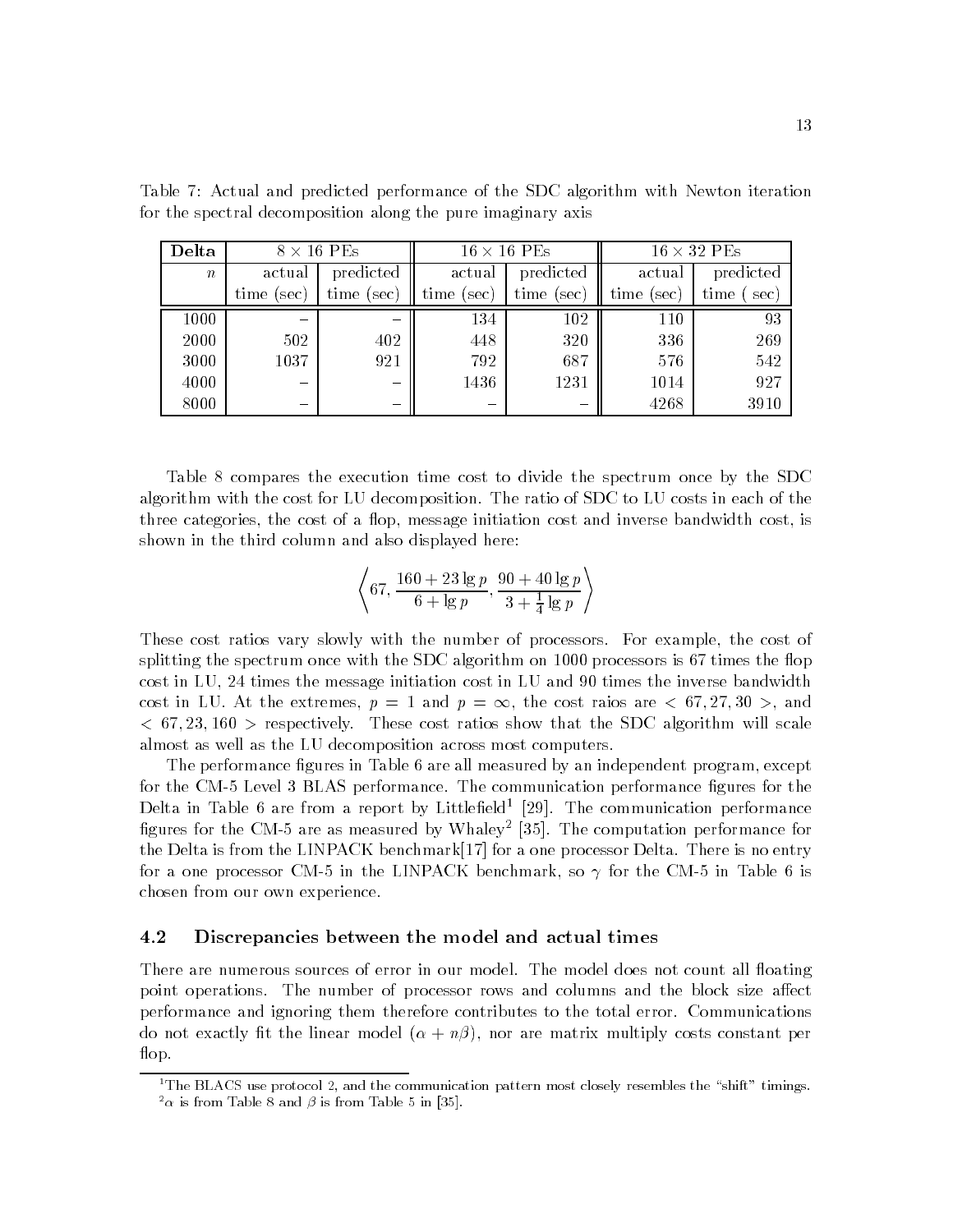| Delta            | $8 \times 16$ PEs        |               | $16 \times 16$ PEs |             | $16 \times 32$ PEs |             |
|------------------|--------------------------|---------------|--------------------|-------------|--------------------|-------------|
| $\boldsymbol{n}$ | actual                   | predicted     | actual             | predicted   | actual             | predicted   |
|                  | time<br>sec)             | (sec)<br>time | [sec]<br>time      | time<br>sec | time<br>sec        | time<br>sec |
| 1000             |                          |               | 134                | 102         | 110                | 93          |
| 2000             | 502                      | 402           | 448                | 320         | 336                | 269         |
| 3000             | 1037                     | 921           | 792                | 687         | 576                | 542         |
| 4000             | $\overline{\phantom{a}}$ |               | 1436               | 1231        | 1014               | 927         |
| 8000             |                          |               | --                 |             | 4268               | 3910        |

Table 7: Actual and predicted performance of the SDC algorithm with Newton iteration for the spectral decomposition along the pure imaginary axis

Table 8 compares the execution time cost to divide the spectrum once by the SDC algorithm with the cost for LU decomposition. The ratio of SDC to LU costs in each of the three categories, the cost of a flop, message initiation cost and inverse bandwidth cost, is shown in the third column and also displayed here:

$$
\left\langle 67, \frac{160 + 23 \lg p}{6 + \lg p}, \frac{90 + 40 \lg p}{3 + \frac{1}{4} \lg p} \right\rangle
$$

 $\overline{\phantom{a}}$ 

These cost ratios vary slowly with the number of processors. For example, the cost of splitting the spectrum once with the SDC algorithm on  $1000$  processors is 67 times the flop cost in LU, 24 times the message initiation cost in LU and 90 times the inverse bandwidth cost in LU. At the extremes,  $p = 1$  and  $p = \infty$ , the cost raios are  $\lt 67,27,30>$ , and  $< 67,23,160$  > respectively. These cost ratios show that the SDC algorithm will scale almost as well as the LU decomposition across most computers.

The performance figures in Table 6 are all measured by an independent program, except for the CM-5 Level 3 BLAS performance. The communication performance figures for the Delta in Table 6 are from a report by Littleneid\* [29]. The communication performance ngures for the UM-5 are as measured by Whaley~ [35]. The computation performance for the Delta is from the LINPACK benchmark[17] for a one processor Delta. There is no entry for a one processor CM-5 in the LINPACK benchmark, so  $\gamma$  for the CM-5 in Table 6 is chosen from our own experience.

#### 4.2 Discrepancies between the model and actual times

There are numerous sources of error in our model. The model does not count all floating point operations. The number of processor rows and columns and the block size affect performance and ignoring them therefore contributes to the total error. Communications do not exactly fit the linear model  $(\alpha + n\beta)$ , nor are matrix multiply costs constant per flop.

 $1<sup>1</sup>$ The BLACS use protocol 2, and the communication pattern most closely resembles the "shift" timings.  $2\alpha$  is from Table 8 and  $\beta$  is from Table 5 in [35].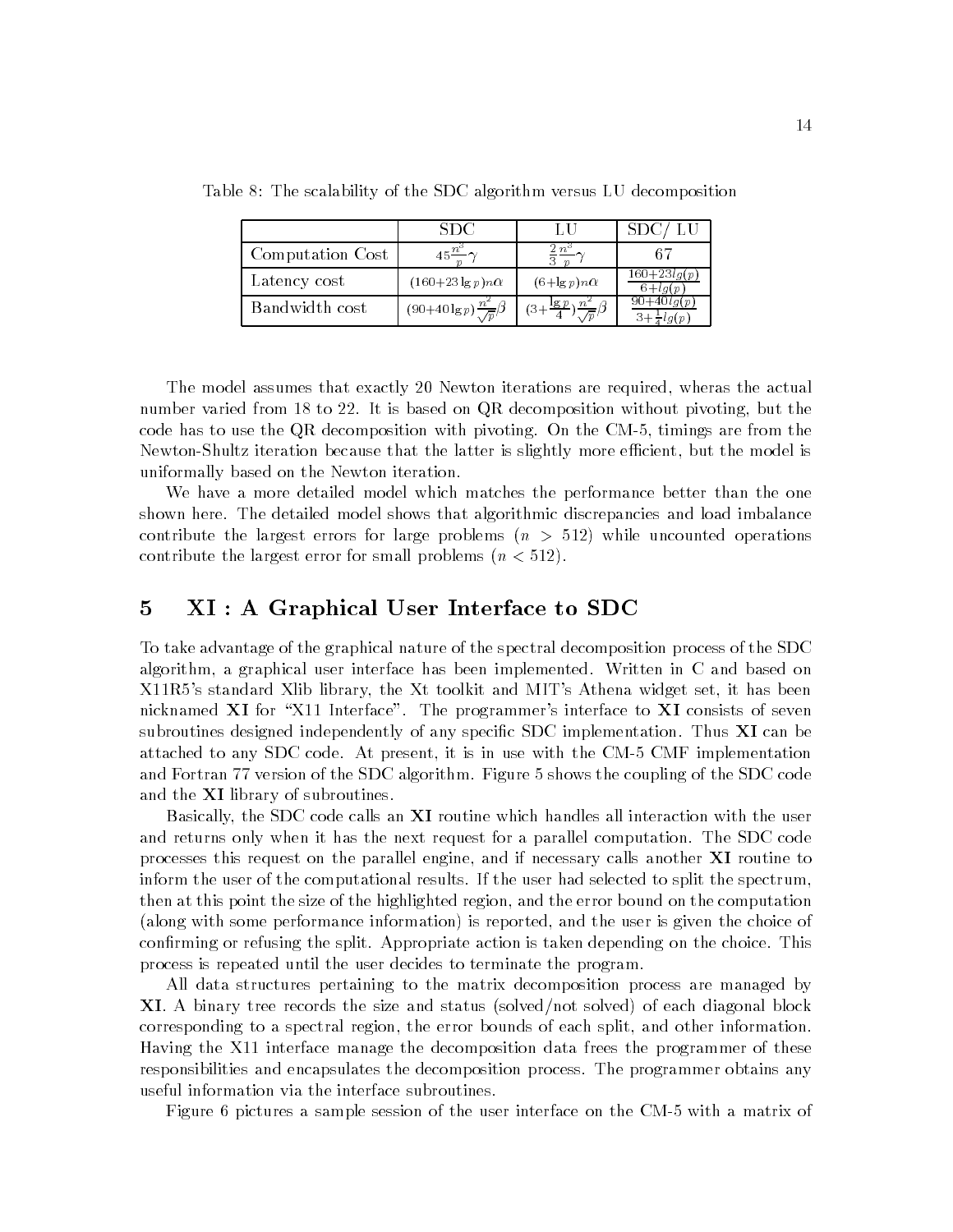|                  | 5 H Z                                  |                    |                  |
|------------------|----------------------------------------|--------------------|------------------|
| Computation Cost |                                        |                    |                  |
| Latency cost     | $(160+23\lg p)n\alpha$                 | $(6+\lg p)n\alpha$ | $160 + 23\lg(p)$ |
| Bandwidth cost   | $(90+40 \lg p)\frac{n}{\sqrt{p}}\beta$ |                    |                  |

Table 8: The scalability of the SDC algorithm versus LU decomposition

The model assumes that exactly 20 Newton iterations are required, wheras the actual number varied from 18 to 22. It is based on QR decomposition without pivoting, but the code has to use the QR decomposition with pivoting. On the CM-5, timings are from the Newton-Shultz iteration because that the latter is slightly more efficient, but the model is uniformally based on the Newton iteration.

We have a more detailed model which matches the performance better than the one shown here. The detailed model shows that algorithmic discrepancies and load imbalance contribute the largest errors for large problems  $(n > 512)$  while uncounted operations contribute the largest error for small problems  $(n < 512)$ .

# 5 XI : A Graphical User Interface to SDC

To take advantage of the graphical nature of the spectral decomposition process of the SDC algorithm, a graphical user interface has been implemented. Written in C and based on X11R5's standard Xlib library, the Xt toolkit and MIT's Athena widget set, it has been nicknamed  $XI$  for "X11 Interface". The programmer's interface to  $XI$  consists of seven subroutines designed independently of any specific SDC implementation. Thus  ${\bf X}{\bf I}$  can be attached to any SDC code. At present, it is in use with the CM-5 CMF implementation and Fortran 77 version of the SDC algorithm. Figure 5 shows the coupling of the SDC code and the **XI** library of subroutines.

Basically, the SDC code calls an  $\mathbf X\mathbf I$  routine which handles all interaction with the user and returns only when it has the next request for a parallel computation. The SDC code processes this request on the parallel engine, and if necessary calls another XI routine to inform the user of the computational results. If the user had selected to split the spectrum, then at this point the size of the highlighted region, and the error bound on the computation (along with some performance information) is reported, and the user is given the choice of confirming or refusing the split. Appropriate action is taken depending on the choice. This process is repeated until the user decides to terminate the program.

All data structures pertaining to the matrix decomposition process are managed by XI. A binary tree records the size and status (solved/not solved) of each diagonal block corresponding to a spectral region, the error bounds of each split, and other information. Having the X11 interface manage the decomposition data frees the programmer of these responsibilities and encapsulates the decomposition process. The programmer obtains any useful information via the interface subroutines.

Figure 6 pictures a sample session of the user interface on the CM-5 with a matrix of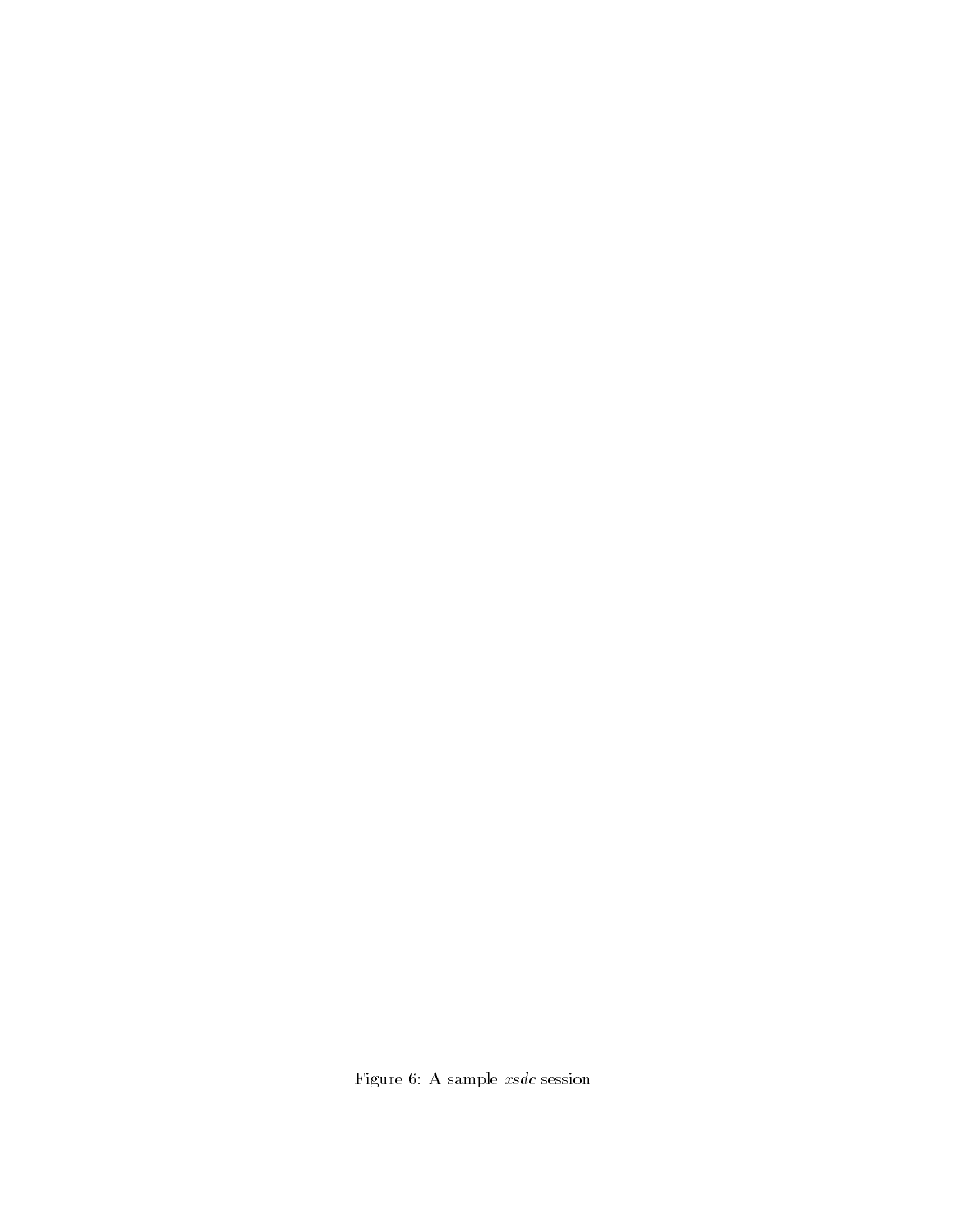Figure 6: A sample xsdc session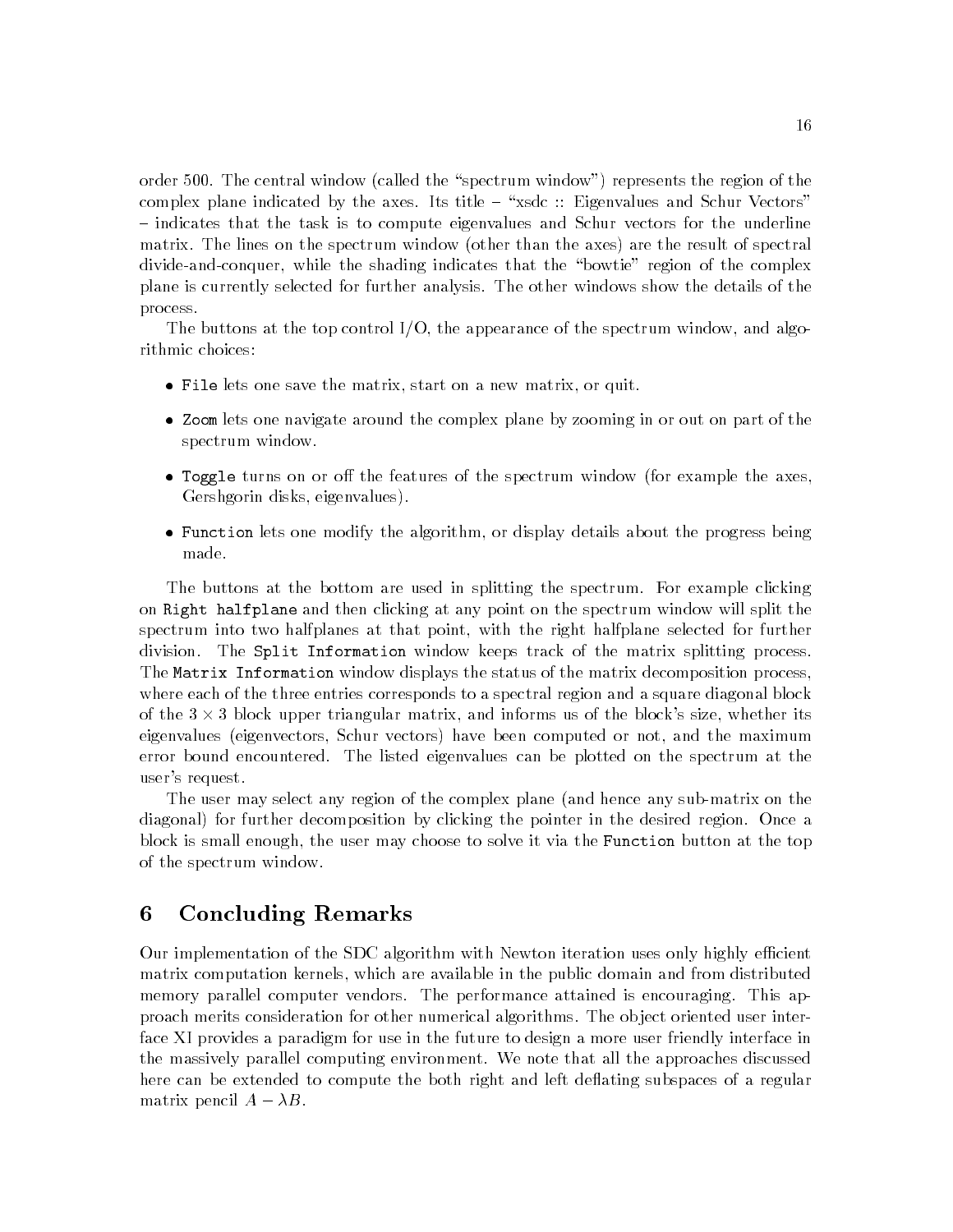order 500. The central window (called the "spectrum window") represents the region of the complex plane indicated by the axes. Its title  $-\text{ "xsdc}$ : Eigenvalues and Schur Vectors" - indicates that the task is to compute eigenvalues and Schur vectors for the underline matrix. The lines on the spectrum window (other than the axes) are the result of spectral divide-and-conquer, while the shading indicates that the "bowtie" region of the complex plane is currently selected for further analysis. The other windows show the details of the process.

The buttons at the top control I/O, the appearance of the spectrum window, and algorithmic choices:

- File lets one save the matrix, start on a new matrix, or quit.
- Zoom lets one navigate around the complex plane by zooming in or out on part of the spectrum window.
- Toggle turns on or off the features of the spectrum window (for example the axes, Gershgorin disks, eigenvalues).
- Function lets one modify the algorithm, or display details about the progress being made.

The buttons at the bottom are used in splitting the spectrum. For example clicking on Right halfplane and then clicking at any point on the spectrum window will split the spectrum into two halfplanes at that point, with the right halfplane selected for further division. The Split Information window keeps track of the matrix splitting process. The Matrix Information window displays the status of the matrix decomposition process, where each of the three entries corresponds to a spectral region and a square diagonal block of the  $3 \times 3$  block upper triangular matrix, and informs us of the block's size, whether its eigenvalues (eigenvectors, Schur vectors) have been computed or not, and the maximum error bound encountered. The listed eigenvalues can be plotted on the spectrum at the user's request.

The user may select any region of the complex plane (and hence any sub-matrix on the diagonal) for further decomposition by clicking the pointer in the desired region. Once a block is small enough, the user may choose to solve it via the Function button at the top of the spectrum window.

## 6 Concluding Remarks

Our implementation of the SDC algorithm with Newton iteration uses only highly efficient matrix computation kernels, which are available in the public domain and from distributed memory parallel computer vendors. The performance attained is encouraging. This approach merits consideration for other numerical algorithms. The ob ject oriented user interface XI provides a paradigm for use in the future to design a more user friendly interface in the massively parallel computing environment. We note that all the approaches discussed here can be extended to compute the both right and left deflating subspaces of a regular matrix pencil  $A - \lambda B$ .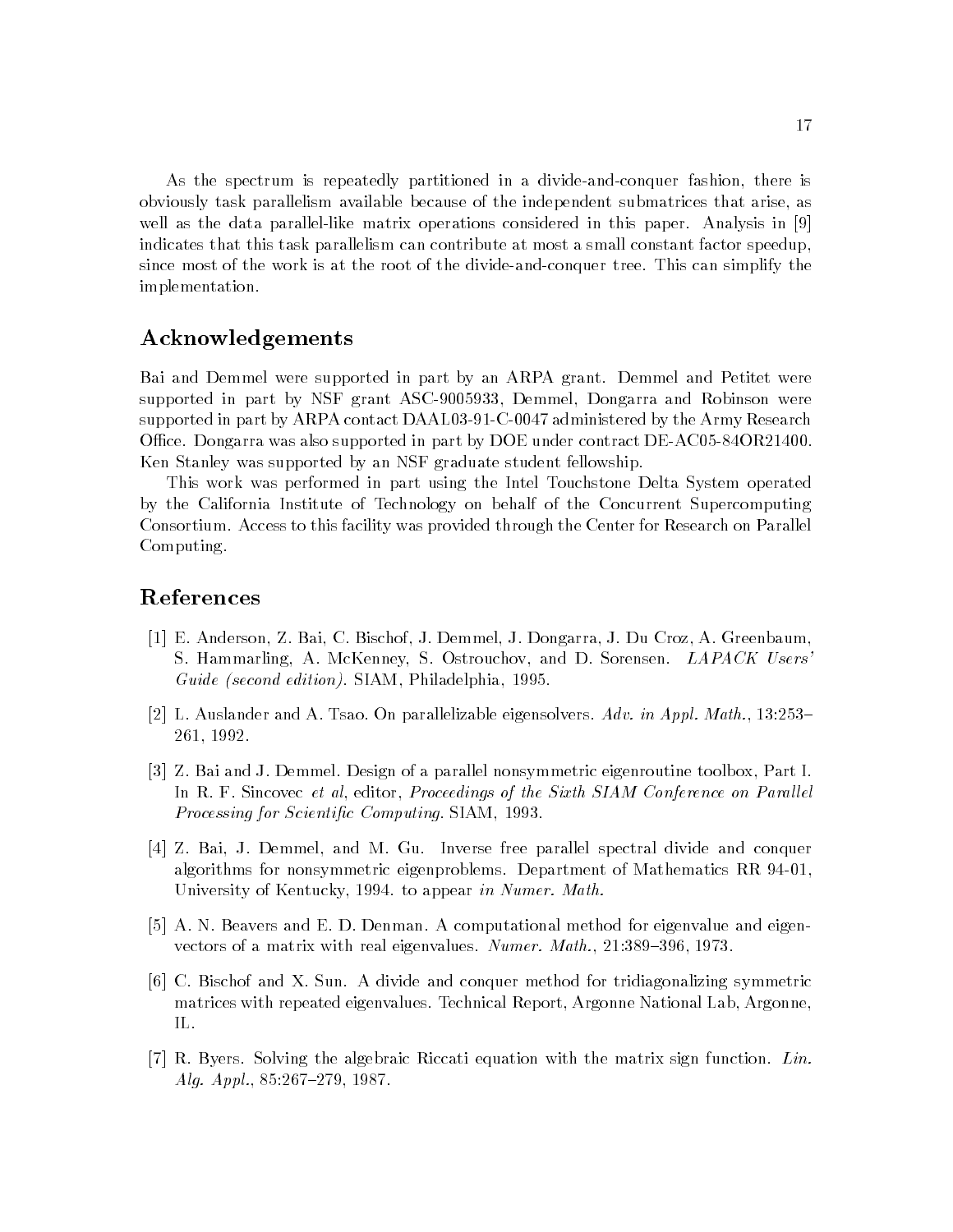As the spectrum is repeatedly partitioned in a divide-and-conquer fashion, there is obviously task parallelism available because of the independent submatrices that arise, as well as the data parallel-like matrix operations considered in this paper. Analysis in [9] indicates that this task parallelism can contribute at most a small constant factor speedup, since most of the work is at the root of the divide-and-conquer tree. This can simplify the implementation.

# Acknowledgements

Bai and Demmel were supported in part by an ARPA grant. Demmel and Petitet were supported in part by NSF grant ASC-9005933, Demmel, Dongarra and Robinson were supported in part by ARPA contact DAAL03-91-C-0047 administered by the Army Research Office. Dongarra was also supported in part by DOE under contract DE-AC05-84OR21400. Ken Stanley was supported by an NSF graduate student fellowship.

This work was performed in part using the Intel Touchstone Delta System operated by the California Institute of Technology on behalf of the Concurrent Supercomputing Consortium. Access to this facility was provided through the Center for Research on Parallel Computing.

## References

- [1] E. Anderson, Z. Bai, C. Bischof, J. Demmel, J. Dongarra, J. Du Croz, A. Greenbaum, S. Hammarling, A. McKenney, S. Ostrouchov, and D. Sorensen. LAPACK Users' Guide (second edition). SIAM, Philadelphia, 1995.
- [2] L. Auslander and A. Tsao. On parallelizable eigensolvers. Adv. in Appl. Math., 13:253– 261, 1992.
- [3] Z. Bai and J. Demmel. Design of a parallel nonsymmetric eigenroutine toolbox, Part I. In R. F. Sincovec et al, editor, Proceedings of the Sixth SIAM Conference on Parallel Processing for Scientific Computing. SIAM, 1993.
- [4] Z. Bai, J. Demmel, and M. Gu. Inverse free parallel spectral divide and conquer algorithms for nonsymmetric eigenproblems. Department of Mathematics RR 94-01, University of Kentucky, 1994. to appear in Numer. Math.
- [5] A. N. Beavers and E. D. Denman. A computational method for eigenvalue and eigenvectors of a matrix with real eigenvalues. Numer.  $Math., 21:389-396, 1973.$
- [6] C. Bischof and X. Sun. A divide and conquer method for tridiagonalizing symmetric matrices with repeated eigenvalues. Technical Report, Argonne National Lab, Argonne, IL.
- [7] R. Byers. Solving the algebraic Riccati equation with the matrix sign function. Lin. Alg.  $Appl.$ , 85:267-279, 1987.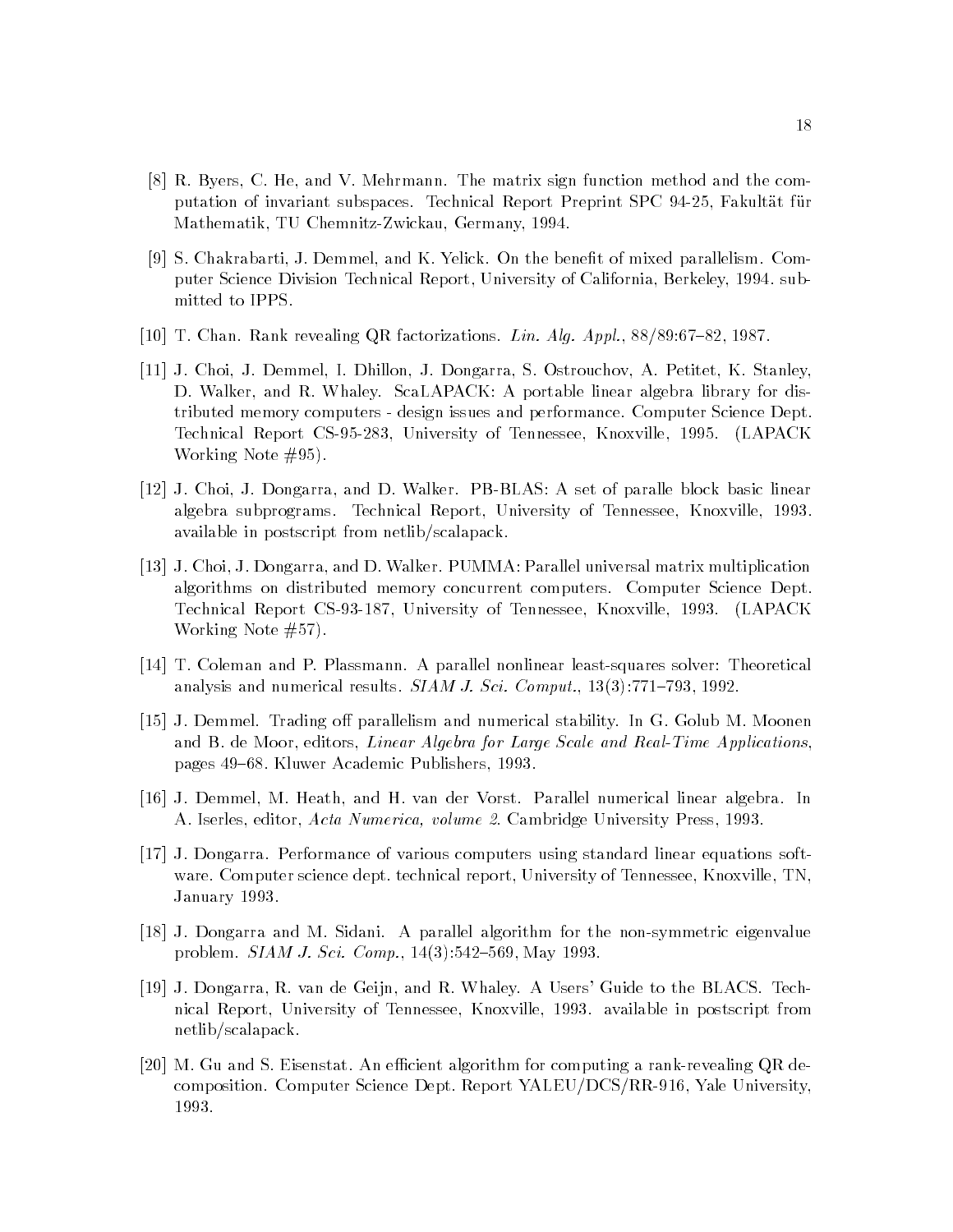- [8] R. Byers, C. He, and V. Mehrmann. The matrix sign function method and the computation of invariant subspaces. Technical Report Preprint SPC 94-25, Fakultat fur Mathematik, TU Chemnitz-Zwickau, Germany, 1994.
- [9] S. Chakrabarti, J. Demmel, and K. Yelick. On the benet of mixed parallelism. Computer Science Division Technical Report, University of California, Berkeley, 1994. submitted to IPPS.
- [10] T. Chan. Rank revealing QR factorizations. Lin. Alg. Appl.,  $88/89:67{-}82$ , 1987.
- [11] J. Choi, J. Demmel, I. Dhillon, J. Dongarra, S. Ostrouchov, A. Petitet, K. Stanley, D. Walker, and R. Whaley. ScaLAPACK: A portable linear algebra library for distributed memory computers - design issues and performance. Computer Science Dept. Technical Report CS-95-283, University of Tennessee, Knoxville, 1995. (LAPACK Working Note #95).
- [12] J. Choi, J. Dongarra, and D. Walker. PB-BLAS: A set of paralle block basic linear algebra subprograms. Technical Report, University of Tennessee, Knoxville, 1993. available in postscript from netlib/scalapack.
- [13] J. Choi, J. Dongarra, and D. Walker. PUMMA: Parallel universal matrix multiplication algorithms on distributed memory concurrent computers. Computer Science Dept. Technical Report CS-93-187, University of Tennessee, Knoxville, 1993. (LAPACK Working Note #57).
- [14] T. Coleman and P. Plassmann. A parallel nonlinear least-squares solver: Theoretical analysis and numerical results.  $SIAM J. Sci. Comput., 13(3): 771–793, 1992.$
- [15] J. Demmel. Trading off parallelism and numerical stability. In G. Golub M. Moonen and B. de Moor, editors, Linear Algebra for Large Scale and Real-Time Applications, pages 49{68. Kluwer Academic Publishers, 1993.
- [16] J. Demmel, M. Heath, and H. van der Vorst. Parallel numerical linear algebra. In A. Iserles, editor, Acta Numerica, volume 2. Cambridge University Press, 1993.
- [17] J. Dongarra. Performance of various computers using standard linear equations software. Computer science dept. technical report, University of Tennessee, Knoxville, TN, January 1993.
- [18] J. Dongarra and M. Sidani. A parallel algorithm for the non-symmetric eigenvalue problem. *SIAM J. Sci. Comp.*,  $14(3)$ :542-569, May 1993.
- [19] J. Dongarra, R. van de Geijn, and R. Whaley. A Users' Guide to the BLACS. Technical Report, University of Tennessee, Knoxville, 1993. available in postscript from netlib/scalapack.
- [20] M. Gu and S. Eisenstat. An efficient algorithm for computing a rank-revealing  $QR$  decomposition. Computer Science Dept. Report YALEU/DCS/RR-916, Yale University, 1993.